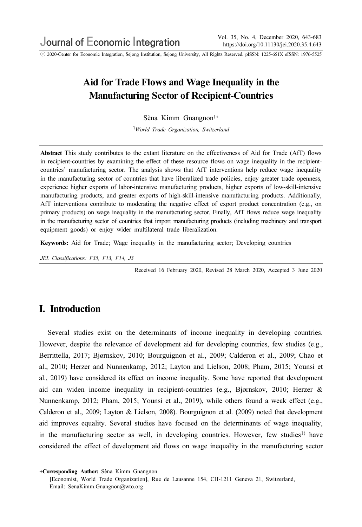ⓒ 2020-Center for Economic Integration, Sejong Institution, Sejong University, All Rights Reserved. pISSN: 1225-651X eISSN: 1976-5525

# Aid for Trade Flows and Wage Inequality in the Manufacturing Sector of Recipient-Countries

Sèna Kimm Gnangnon<sup>1+</sup>

<sup>1</sup>World Trade Organization, Switzerland

Abstract This study contributes to the extant literature on the effectiveness of Aid for Trade (AfT) flows in recipient-countries by examining the effect of these resource flows on wage inequality in the recipientcountries' manufacturing sector. The analysis shows that AfT interventions help reduce wage inequality in the manufacturing sector of countries that have liberalized trade policies, enjoy greater trade openness, experience higher exports of labor-intensive manufacturing products, higher exports of low-skill-intensive manufacturing products, and greater exports of high-skill-intensive manufacturing products. Additionally, AfT interventions contribute to moderating the negative effect of export product concentration (e.g., on primary products) on wage inequality in the manufacturing sector. Finally, AfT flows reduce wage inequality in the manufacturing sector of countries that import manufacturing products (including machinery and transport equipment goods) or enjoy wider multilateral trade liberalization.

Keywords: Aid for Trade; Wage inequality in the manufacturing sector; Developing countries

JEL Classifications: F35, F13, F14, J3

Received 16 February 2020, Revised 28 March 2020, Accepted 3 June 2020

## I. Introduction

Several studies exist on the determinants of income inequality in developing countries. However, despite the relevance of development aid for developing countries, few studies (e.g., Berrittella, 2017; Bjørnskov, 2010; Bourguignon et al., 2009; Calderon et al., 2009; Chao et al., 2010; Herzer and Nunnenkamp, 2012; Layton and Lielson, 2008; Pham, 2015; Younsi et al., 2019) have considered its effect on income inequality. Some have reported that development aid can widen income inequality in recipient-countries (e.g., Bjørnskov, 2010; Herzer & Nunnenkamp, 2012; Pham, 2015; Younsi et al., 2019), while others found a weak effect (e.g., Calderon et al., 2009; Layton & Lielson, 2008). Bourguignon et al. (2009) noted that development aid improves equality. Several studies have focused on the determinants of wage inequality, in the manufacturing sector as well, in developing countries. However, few studies<sup>1)</sup> have considered the effect of development aid flows on wage inequality in the manufacturing sector

<sup>+</sup>Corresponding Author: Sèna Kimm Gnangnon

<sup>[</sup>Economist, World Trade Organization], Rue de Lausanne 154, CH-1211 Geneva 21, Switzerland, Email: SenaKimm.Gnangnon@wto.org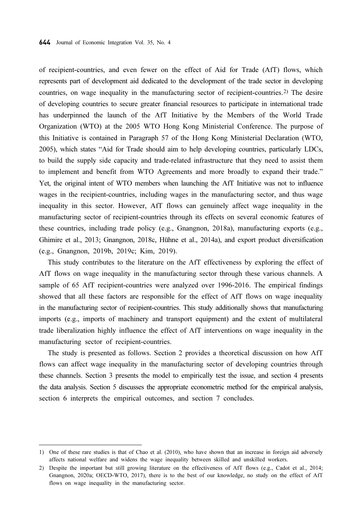of recipient-countries, and even fewer on the effect of Aid for Trade (AfT) flows, which represents part of development aid dedicated to the development of the trade sector in developing countries, on wage inequality in the manufacturing sector of recipient-countries.<sup>2)</sup> The desire of developing countries to secure greater financial resources to participate in international trade has underpinned the launch of the AfT Initiative by the Members of the World Trade Organization (WTO) at the 2005 WTO Hong Kong Ministerial Conference. The purpose of this Initiative is contained in Paragraph 57 of the Hong Kong Ministerial Declaration (WTO, 2005), which states "Aid for Trade should aim to help developing countries, particularly LDCs, to build the supply side capacity and trade-related infrastructure that they need to assist them to implement and benefit from WTO Agreements and more broadly to expand their trade." Yet, the original intent of WTO members when launching the AfT Initiative was not to influence wages in the recipient-countries, including wages in the manufacturing sector, and thus wage inequality in this sector. However, AfT flows can genuinely affect wage inequality in the manufacturing sector of recipient-countries through its effects on several economic features of these countries, including trade policy (e.g., Gnangnon, 2018a), manufacturing exports (e.g., Ghimire et al., 2013; Gnangnon, 2018c, Hühne et al., 2014a), and export product diversification (e.g., Gnangnon, 2019b, 2019c; Kim, 2019).

This study contributes to the literature on the AfT effectiveness by exploring the effect of AfT flows on wage inequality in the manufacturing sector through these various channels. A sample of 65 AfT recipient-countries were analyzed over 1996-2016. The empirical findings showed that all these factors are responsible for the effect of AfT flows on wage inequality in the manufacturing sector of recipient-countries. This study additionally shows that manufacturing imports (e.g., imports of machinery and transport equipment) and the extent of multilateral trade liberalization highly influence the effect of AfT interventions on wage inequality in the manufacturing sector of recipient-countries.

The study is presented as follows. Section 2 provides a theoretical discussion on how AfT flows can affect wage inequality in the manufacturing sector of developing countries through these channels. Section 3 presents the model to empirically test the issue, and section 4 presents the data analysis. Section 5 discusses the appropriate econometric method for the empirical analysis, section 6 interprets the empirical outcomes, and section 7 concludes.

<sup>1)</sup> One of these rare studies is that of Chao et al. (2010), who have shown that an increase in foreign aid adversely affects national welfare and widens the wage inequality between skilled and unskilled workers.

<sup>2)</sup> Despite the important but still growing literature on the effectiveness of AfT flows (e.g., Cadot et al., 2014; Gnangnon, 2020a; OECD-WTO, 2017), there is to the best of our knowledge, no study on the effect of AfT flows on wage inequality in the manufacturing sector.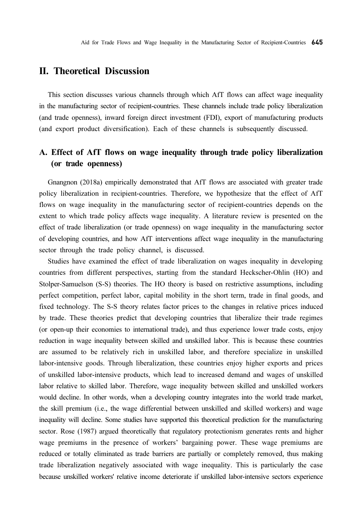## II. Theoretical Discussion

This section discusses various channels through which AfT flows can affect wage inequality in the manufacturing sector of recipient-countries. These channels include trade policy liberalization (and trade openness), inward foreign direct investment (FDI), export of manufacturing products (and export product diversification). Each of these channels is subsequently discussed.

# A. Effect of AfT flows on wage inequality through trade policy liberalization (or trade openness)

Gnangnon (2018a) empirically demonstrated that AfT flows are associated with greater trade policy liberalization in recipient-countries. Therefore, we hypothesize that the effect of AfT flows on wage inequality in the manufacturing sector of recipient-countries depends on the extent to which trade policy affects wage inequality. A literature review is presented on the effect of trade liberalization (or trade openness) on wage inequality in the manufacturing sector of developing countries, and how AfT interventions affect wage inequality in the manufacturing sector through the trade policy channel, is discussed.

Studies have examined the effect of trade liberalization on wages inequality in developing countries from different perspectives, starting from the standard Heckscher-Ohlin (HO) and Stolper-Samuelson (S-S) theories. The HO theory is based on restrictive assumptions, including perfect competition, perfect labor, capital mobility in the short term, trade in final goods, and fixed technology. The S-S theory relates factor prices to the changes in relative prices induced by trade. These theories predict that developing countries that liberalize their trade regimes (or open-up their economies to international trade), and thus experience lower trade costs, enjoy reduction in wage inequality between skilled and unskilled labor. This is because these countries are assumed to be relatively rich in unskilled labor, and therefore specialize in unskilled labor-intensive goods. Through liberalization, these countries enjoy higher exports and prices of unskilled labor-intensive products, which lead to increased demand and wages of unskilled labor relative to skilled labor. Therefore, wage inequality between skilled and unskilled workers would decline. In other words, when a developing country integrates into the world trade market, the skill premium (i.e., the wage differential between unskilled and skilled workers) and wage inequality will decline. Some studies have supported this theoretical prediction for the manufacturing sector. Rose (1987) argued theoretically that regulatory protectionism generates rents and higher wage premiums in the presence of workers' bargaining power. These wage premiums are reduced or totally eliminated as trade barriers are partially or completely removed, thus making trade liberalization negatively associated with wage inequality. This is particularly the case because unskilled workers' relative income deteriorate if unskilled labor-intensive sectors experience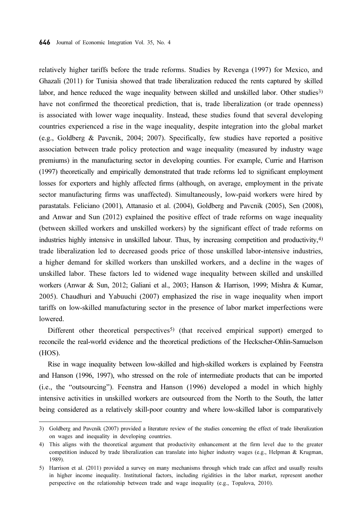relatively higher tariffs before the trade reforms. Studies by Revenga (1997) for Mexico, and Ghazali (2011) for Tunisia showed that trade liberalization reduced the rents captured by skilled labor, and hence reduced the wage inequality between skilled and unskilled labor. Other studies<sup>3)</sup> have not confirmed the theoretical prediction, that is, trade liberalization (or trade openness) is associated with lower wage inequality. Instead, these studies found that several developing countries experienced a rise in the wage inequality, despite integration into the global market (e.g., Goldberg & Pavcnik, 2004; 2007). Specifically, few studies have reported a positive association between trade policy protection and wage inequality (measured by industry wage premiums) in the manufacturing sector in developing counties. For example, Currie and Harrison (1997) theoretically and empirically demonstrated that trade reforms led to significant employment losses for exporters and highly affected firms (although, on average, employment in the private sector manufacturing firms was unaffected). Simultaneously, low-paid workers were hired by parastatals. Feliciano (2001), Attanasio et al. (2004), Goldberg and Pavcnik (2005), Sen (2008), and Anwar and Sun (2012) explained the positive effect of trade reforms on wage inequality (between skilled workers and unskilled workers) by the significant effect of trade reforms on industries highly intensive in unskilled labour. Thus, by increasing competition and productivity,4) trade liberalization led to decreased goods price of those unskilled labor-intensive industries, a higher demand for skilled workers than unskilled workers, and a decline in the wages of unskilled labor. These factors led to widened wage inequality between skilled and unskilled workers (Anwar & Sun, 2012; Galiani et al., 2003; Hanson & Harrison, 1999; Mishra & Kumar, 2005). Chaudhuri and Yabuuchi (2007) emphasized the rise in wage inequality when import tariffs on low-skilled manufacturing sector in the presence of labor market imperfections were lowered.

Different other theoretical perspectives<sup>5)</sup> (that received empirical support) emerged to reconcile the real-world evidence and the theoretical predictions of the Heckscher-Ohlin-Samuelson (HOS).

Rise in wage inequality between low-skilled and high-skilled workers is explained by Feenstra and Hanson (1996, 1997), who stressed on the role of intermediate products that can be imported (i.e., the "outsourcing"). Feenstra and Hanson (1996) developed a model in which highly intensive activities in unskilled workers are outsourced from the North to the South, the latter being considered as a relatively skill-poor country and where low-skilled labor is comparatively

<sup>3)</sup> Goldberg and Pavcnik (2007) provided a literature review of the studies concerning the effect of trade liberalization on wages and inequality in developing countries.

<sup>4)</sup> This aligns with the theoretical argument that productivity enhancement at the firm level due to the greater competition induced by trade liberalization can translate into higher industry wages (e.g., Helpman & Krugman, 1989).

<sup>5)</sup> Harrison et al. (2011) provided a survey on many mechanisms through which trade can affect and usually results in higher income inequality. Institutional factors, including rigidities in the labor market, represent another perspective on the relationship between trade and wage inequality (e.g., Topalova, 2010).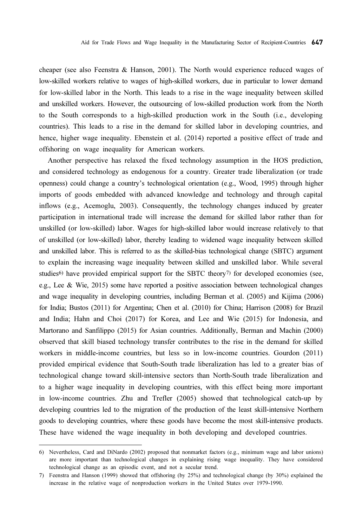cheaper (see also Feenstra & Hanson, 2001). The North would experience reduced wages of low-skilled workers relative to wages of high-skilled workers, due in particular to lower demand for low-skilled labor in the North. This leads to a rise in the wage inequality between skilled and unskilled workers. However, the outsourcing of low-skilled production work from the North to the South corresponds to a high-skilled production work in the South (i.e., developing countries). This leads to a rise in the demand for skilled labor in developing countries, and hence, higher wage inequality. Ebenstein et al. (2014) reported a positive effect of trade and offshoring on wage inequality for American workers.

Another perspective has relaxed the fixed technology assumption in the HOS prediction, and considered technology as endogenous for a country. Greater trade liberalization (or trade openness) could change a country's technological orientation (e.g., Wood, 1995) through higher imports of goods embedded with advanced knowledge and technology and through capital inflows (e.g., Acemoglu, 2003). Consequently, the technology changes induced by greater participation in international trade will increase the demand for skilled labor rather than for unskilled (or low-skilled) labor. Wages for high-skilled labor would increase relatively to that of unskilled (or low-skilled) labor, thereby leading to widened wage inequality between skilled and unskilled labor. This is referred to as the skilled-bias technological change (SBTC) argument to explain the increasing wage inequality between skilled and unskilled labor. While several studies<sup>6)</sup> have provided empirical support for the SBTC theory<sup>7)</sup> for developed economies (see, e.g., Lee & Wie, 2015) some have reported a positive association between technological changes and wage inequality in developing countries, including Berman et al. (2005) and Kijima (2006) for India; Bustos (2011) for Argentina; Chen et al. (2010) for China; Harrison (2008) for Brazil and India; Hahn and Choi (2017) for Korea, and Lee and Wie (2015) for Indonesia, and Martorano and Sanfilippo (2015) for Asian countries. Additionally, Berman and Machin (2000) observed that skill biased technology transfer contributes to the rise in the demand for skilled workers in middle-income countries, but less so in low-income countries. Gourdon (2011) provided empirical evidence that South-South trade liberalization has led to a greater bias of technological change toward skill-intensive sectors than North-South trade liberalization and to a higher wage inequality in developing countries, with this effect being more important in low-income countries. Zhu and Trefler (2005) showed that technological catch-up by developing countries led to the migration of the production of the least skill-intensive Northern goods to developing countries, where these goods have become the most skill-intensive products. These have widened the wage inequality in both developing and developed countries.

<sup>6)</sup> Nevertheless, Card and DiNardo (2002) proposed that nonmarket factors (e.g., minimum wage and labor unions) are more important than technological changes in explaining rising wage inequality. They have considered technological change as an episodic event, and not a secular trend.

<sup>7)</sup> Feenstra and Hanson (1999) showed that offshoring (by 25%) and technological change (by 30%) explained the increase in the relative wage of nonproduction workers in the United States over 1979-1990.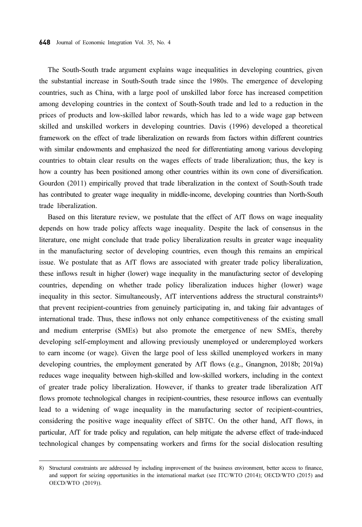The South-South trade argument explains wage inequalities in developing countries, given the substantial increase in South-South trade since the 1980s. The emergence of developing countries, such as China, with a large pool of unskilled labor force has increased competition among developing countries in the context of South-South trade and led to a reduction in the prices of products and low-skilled labor rewards, which has led to a wide wage gap between skilled and unskilled workers in developing countries. Davis (1996) developed a theoretical framework on the effect of trade liberalization on rewards from factors within different countries with similar endowments and emphasized the need for differentiating among various developing countries to obtain clear results on the wages effects of trade liberalization; thus, the key is how a country has been positioned among other countries within its own cone of diversification. Gourdon (2011) empirically proved that trade liberalization in the context of South-South trade has contributed to greater wage inequality in middle-income, developing countries than North-South trade liberalization.

Based on this literature review, we postulate that the effect of AfT flows on wage inequality depends on how trade policy affects wage inequality. Despite the lack of consensus in the literature, one might conclude that trade policy liberalization results in greater wage inequality in the manufacturing sector of developing countries, even though this remains an empirical issue. We postulate that as AfT flows are associated with greater trade policy liberalization, these inflows result in higher (lower) wage inequality in the manufacturing sector of developing countries, depending on whether trade policy liberalization induces higher (lower) wage inequality in this sector. Simultaneously, AfT interventions address the structural constraints8) that prevent recipient-countries from genuinely participating in, and taking fair advantages of international trade. Thus, these inflows not only enhance competitiveness of the existing small and medium enterprise (SMEs) but also promote the emergence of new SMEs, thereby developing self-employment and allowing previously unemployed or underemployed workers to earn income (or wage). Given the large pool of less skilled unemployed workers in many developing countries, the employment generated by AfT flows (e.g., Gnangnon, 2018b; 2019a) reduces wage inequality between high-skilled and low-skilled workers, including in the context of greater trade policy liberalization. However, if thanks to greater trade liberalization AfT flows promote technological changes in recipient-countries, these resource inflows can eventually lead to a widening of wage inequality in the manufacturing sector of recipient-countries, considering the positive wage inequality effect of SBTC. On the other hand, AfT flows, in particular, AfT for trade policy and regulation, can help mitigate the adverse effect of trade-induced technological changes by compensating workers and firms for the social dislocation resulting

<sup>8)</sup> Structural constraints are addressed by including improvement of the business environment, better access to finance, and support for seizing opportunities in the international market (see ITC/WTO (2014); OECD/WTO (2015) and OECD/WTO (2019)).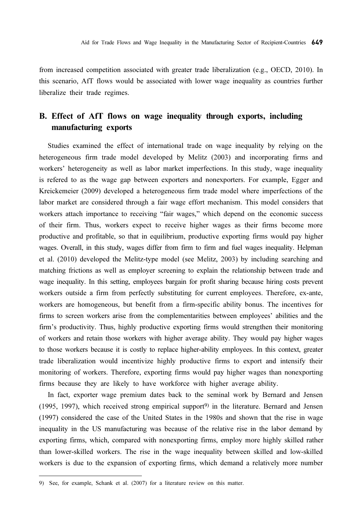from increased competition associated with greater trade liberalization (e.g., OECD, 2010). In this scenario, AfT flows would be associated with lower wage inequality as countries further liberalize their trade regimes.

# B. Effect of AfT flows on wage inequality through exports, including manufacturing exports

Studies examined the effect of international trade on wage inequality by relying on the heterogeneous firm trade model developed by Melitz (2003) and incorporating firms and workers' heterogeneity as well as labor market imperfections. In this study, wage inequality is refered to as the wage gap between exporters and nonexporters. For example, Egger and Kreickemeier (2009) developed a heterogeneous firm trade model where imperfections of the labor market are considered through a fair wage effort mechanism. This model considers that workers attach importance to receiving "fair wages," which depend on the economic success of their firm. Thus, workers expect to receive higher wages as their firms become more productive and profitable, so that in equilibrium, productive exporting firms would pay higher wages. Overall, in this study, wages differ from firm to firm and fuel wages inequality. Helpman et al. (2010) developed the Melitz-type model (see Melitz, 2003) by including searching and matching frictions as well as employer screening to explain the relationship between trade and wage inequality. In this setting, employees bargain for profit sharing because hiring costs prevent workers outside a firm from perfectly substituting for current employees. Therefore, ex-ante, workers are homogeneous, but benefit from a firm-specific ability bonus. The incentives for firms to screen workers arise from the complementarities between employees' abilities and the firm's productivity. Thus, highly productive exporting firms would strengthen their monitoring of workers and retain those workers with higher average ability. They would pay higher wages to those workers because it is costly to replace higher-ability employees. In this context, greater trade liberalization would incentivize highly productive firms to export and intensify their monitoring of workers. Therefore, exporting firms would pay higher wages than nonexporting firms because they are likely to have workforce with higher average ability.

In fact, exporter wage premium dates back to the seminal work by Bernard and Jensen (1995, 1997), which received strong empirical support<sup>9)</sup> in the literature. Bernard and Jensen (1997) considered the case of the United States in the 1980s and shown that the rise in wage inequality in the US manufacturing was because of the relative rise in the labor demand by exporting firms, which, compared with nonexporting firms, employ more highly skilled rather than lower-skilled workers. The rise in the wage inequality between skilled and low-skilled workers is due to the expansion of exporting firms, which demand a relatively more number

<sup>9)</sup> See, for example, Schank et al. (2007) for a literature review on this matter.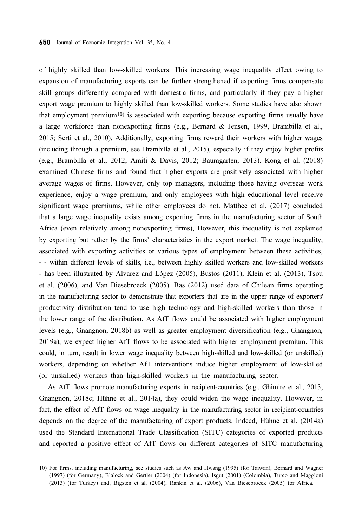of highly skilled than low-skilled workers. This increasing wage inequality effect owing to expansion of manufacturing exports can be further strengthened if exporting firms compensate skill groups differently compared with domestic firms, and particularly if they pay a higher export wage premium to highly skilled than low-skilled workers. Some studies have also shown that employment premium10) is associated with exporting because exporting firms usually have a large workforce than nonexporting firms (e.g., Bernard & Jensen, 1999, Brambilla et al., 2015; Serti et al., 2010). Additionally, exporting firms reward their workers with higher wages (including through a premium, see Brambilla et al., 2015), especially if they enjoy higher profits (e.g., Brambilla et al., 2012; Amiti & Davis, 2012; Baumgarten, 2013). Kong et al. (2018) examined Chinese firms and found that higher exports are positively associated with higher average wages of firms. However, only top managers, including those having overseas work experience, enjoy a wage premium, and only employees with high educational level receive significant wage premiums, while other employees do not. Matthee et al. (2017) concluded that a large wage inequality exists among exporting firms in the manufacturing sector of South Africa (even relatively among nonexporting firms), However, this inequality is not explained by exporting but rather by the firms' characteristics in the export market. The wage inequality, associated with exporting activities or various types of employment between these activities, - - within different levels of skills, i.e., between highly skilled workers and low-skilled workers - has been illustrated by Alvarez and López (2005), Bustos (2011), Klein et al. (2013), Tsou et al. (2006), and Van Biesebroeck (2005). Bas (2012) used data of Chilean firms operating in the manufacturing sector to demonstrate that exporters that are in the upper range of exporters' productivity distribution tend to use high technology and high-skilled workers than those in the lower range of the distribution. As AfT flows could be associated with higher employment levels (e.g., Gnangnon, 2018b) as well as greater employment diversification (e.g., Gnangnon, 2019a), we expect higher AfT flows to be associated with higher employment premium. This could, in turn, result in lower wage inequality between high-skilled and low-skilled (or unskilled) workers, depending on whether AfT interventions induce higher employment of low-skilled (or unskilled) workers than high-skilled workers in the manufacturing sector.

As AfT flows promote manufacturing exports in recipient-countries (e.g., Ghimire et al., 2013; Gnangnon, 2018c; Hühne et al., 2014a), they could widen the wage inequality. However, in fact, the effect of AfT flows on wage inequality in the manufacturing sector in recipient-countries depends on the degree of the manufacturing of export products. Indeed, Hühne et al. (2014a) used the Standard International Trade Classification (SITC) categories of exported products and reported a positive effect of AfT flows on different categories of SITC manufacturing

<sup>10)</sup> For firms, including manufacturing, see studies such as Aw and Hwang (1995) (for Taiwan), Bernard and Wagner (1997) (for Germany), Blalock and Gertler (2004) (for Indonesia), Isgut (2001) (Colombia), Turco and Maggioni (2013) (for Turkey) and, Bigsten et al. (2004), Rankin et al. (2006), Van Biesebroeck (2005) for Africa.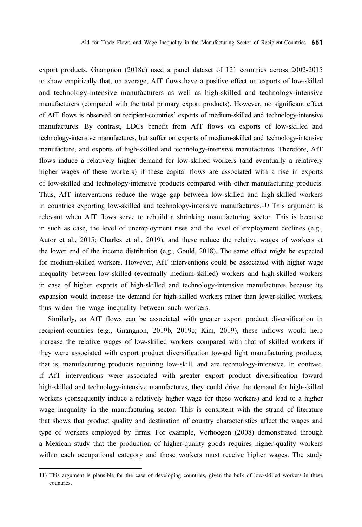export products. Gnangnon (2018c) used a panel dataset of 121 countries across 2002-2015 to show empirically that, on average, AfT flows have a positive effect on exports of low-skilled and technology-intensive manufacturers as well as high-skilled and technology-intensive manufacturers (compared with the total primary export products). However, no significant effect of AfT flows is observed on recipient-countries' exports of medium-skilled and technology-intensive manufactures. By contrast, LDCs benefit from AfT flows on exports of low-skilled and technology-intensive manufactures, but suffer on exports of medium-skilled and technology-intensive manufacture, and exports of high-skilled and technology-intensive manufactures. Therefore, AfT flows induce a relatively higher demand for low-skilled workers (and eventually a relatively higher wages of these workers) if these capital flows are associated with a rise in exports of low-skilled and technology-intensive products compared with other manufacturing products. Thus, AfT interventions reduce the wage gap between low-skilled and high-skilled workers in countries exporting low-skilled and technology-intensive manufactures.11) This argument is relevant when AfT flows serve to rebuild a shrinking manufacturing sector. This is because in such as case, the level of unemployment rises and the level of employment declines (e.g., Autor et al., 2015; Charles et al., 2019), and these reduce the relative wages of workers at the lower end of the income distribution (e.g., Gould, 2018). The same effect might be expected for medium-skilled workers. However, AfT interventions could be associated with higher wage inequality between low-skilled (eventually medium-skilled) workers and high-skilled workers in case of higher exports of high-skilled and technology-intensive manufactures because its expansion would increase the demand for high-skilled workers rather than lower-skilled workers, thus widen the wage inequality between such workers.

Similarly, as AfT flows can be associated with greater export product diversification in recipient-countries (e.g., Gnangnon, 2019b, 2019c; Kim, 2019), these inflows would help increase the relative wages of low-skilled workers compared with that of skilled workers if they were associated with export product diversification toward light manufacturing products, that is, manufacturing products requiring low-skill, and are technology-intensive. In contrast, if AfT interventions were associated with greater export product diversification toward high-skilled and technology-intensive manufactures, they could drive the demand for high-skilled workers (consequently induce a relatively higher wage for those workers) and lead to a higher wage inequality in the manufacturing sector. This is consistent with the strand of literature that shows that product quality and destination of country characteristics affect the wages and type of workers employed by firms. For example, Verhoogen (2008) demonstrated through a Mexican study that the production of higher-quality goods requires higher-quality workers within each occupational category and those workers must receive higher wages. The study

<sup>11)</sup> This argument is plausible for the case of developing countries, given the bulk of low-skilled workers in these countries.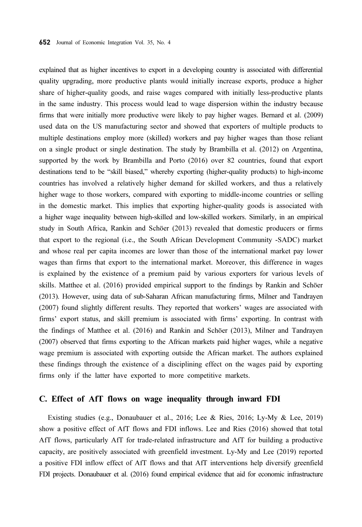explained that as higher incentives to export in a developing country is associated with differential quality upgrading, more productive plants would initially increase exports, produce a higher share of higher-quality goods, and raise wages compared with initially less-productive plants in the same industry. This process would lead to wage dispersion within the industry because firms that were initially more productive were likely to pay higher wages. Bernard et al. (2009) used data on the US manufacturing sector and showed that exporters of multiple products to multiple destinations employ more (skilled) workers and pay higher wages than those reliant on a single product or single destination. The study by Brambilla et al. (2012) on Argentina, supported by the work by Brambilla and Porto (2016) over 82 countries, found that export destinations tend to be "skill biased," whereby exporting (higher-quality products) to high-income countries has involved a relatively higher demand for skilled workers, and thus a relatively higher wage to those workers, compared with exporting to middle-income countries or selling in the domestic market. This implies that exporting higher-quality goods is associated with a higher wage inequality between high-skilled and low-skilled workers. Similarly, in an empirical study in South Africa, Rankin and Schöer (2013) revealed that domestic producers or firms that export to the regional (i.e., the South African Development Community -SADC) market and whose real per capita incomes are lower than those of the international market pay lower wages than firms that export to the international market. Moreover, this difference in wages is explained by the existence of a premium paid by various exporters for various levels of skills. Matthee et al. (2016) provided empirical support to the findings by Rankin and Schöer (2013). However, using data of sub-Saharan African manufacturing firms, Milner and Tandrayen (2007) found slightly different results. They reported that workers' wages are associated with firms' export status, and skill premium is associated with firms' exporting. In contrast with the findings of Matthee et al. (2016) and Rankin and Schöer (2013), Milner and Tandrayen (2007) observed that firms exporting to the African markets paid higher wages, while a negative wage premium is associated with exporting outside the African market. The authors explained these findings through the existence of a disciplining effect on the wages paid by exporting firms only if the latter have exported to more competitive markets.

#### C. Effect of AfT flows on wage inequality through inward FDI

Existing studies (e.g., Donaubauer et al., 2016; Lee & Ries, 2016; Ly-My & Lee, 2019) show a positive effect of AfT flows and FDI inflows. Lee and Ries (2016) showed that total AfT flows, particularly AfT for trade-related infrastructure and AfT for building a productive capacity, are positively associated with greenfield investment. Ly-My and Lee (2019) reported a positive FDI inflow effect of AfT flows and that AfT interventions help diversify greenfield FDI projects. Donaubauer et al. (2016) found empirical evidence that aid for economic infrastructure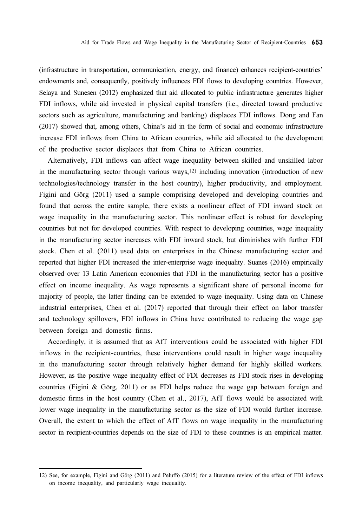(infrastructure in transportation, communication, energy, and finance) enhances recipient-countries' endowments and, consequently, positively influences FDI flows to developing countries. However, Selaya and Sunesen (2012) emphasized that aid allocated to public infrastructure generates higher FDI inflows, while aid invested in physical capital transfers (i.e., directed toward productive sectors such as agriculture, manufacturing and banking) displaces FDI inflows. Dong and Fan (2017) showed that, among others, China's aid in the form of social and economic infrastructure increase FDI inflows from China to African countries, while aid allocated to the development of the productive sector displaces that from China to African countries.

Alternatively, FDI inflows can affect wage inequality between skilled and unskilled labor in the manufacturing sector through various ways, $12$ ) including innovation (introduction of new technologies/technology transfer in the host country), higher productivity, and employment. Figini and Görg (2011) used a sample comprising developed and developing countries and found that across the entire sample, there exists a nonlinear effect of FDI inward stock on wage inequality in the manufacturing sector. This nonlinear effect is robust for developing countries but not for developed countries. With respect to developing countries, wage inequality in the manufacturing sector increases with FDI inward stock, but diminishes with further FDI stock. Chen et al. (2011) used data on enterprises in the Chinese manufacturing sector and reported that higher FDI increased the inter-enterprise wage inequality. Suanes (2016) empirically observed over 13 Latin American economies that FDI in the manufacturing sector has a positive effect on income inequality. As wage represents a significant share of personal income for majority of people, the latter finding can be extended to wage inequality. Using data on Chinese industrial enterprises, Chen et al. (2017) reported that through their effect on labor transfer and technology spillovers, FDI inflows in China have contributed to reducing the wage gap between foreign and domestic firms.

Accordingly, it is assumed that as AfT interventions could be associated with higher FDI inflows in the recipient-countries, these interventions could result in higher wage inequality in the manufacturing sector through relatively higher demand for highly skilled workers. However, as the positive wage inequality effect of FDI decreases as FDI stock rises in developing countries (Figini & Görg, 2011) or as FDI helps reduce the wage gap between foreign and domestic firms in the host country (Chen et al., 2017), AfT flows would be associated with lower wage inequality in the manufacturing sector as the size of FDI would further increase. Overall, the extent to which the effect of AfT flows on wage inequality in the manufacturing sector in recipient-countries depends on the size of FDI to these countries is an empirical matter.

<sup>12)</sup> See, for example, Figini and Görg (2011) and Peluffo (2015) for a literature review of the effect of FDI inflows on income inequality, and particularly wage inequality.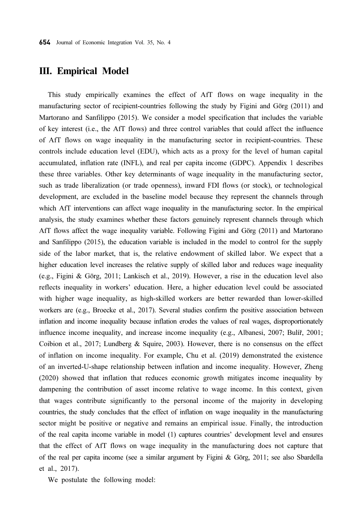#### III. Empirical Model

This study empirically examines the effect of AfT flows on wage inequality in the manufacturing sector of recipient-countries following the study by Figini and Görg (2011) and Martorano and Sanfilippo (2015). We consider a model specification that includes the variable of key interest (i.e., the AfT flows) and three control variables that could affect the influence of AfT flows on wage inequality in the manufacturing sector in recipient-countries. These controls include education level (EDU), which acts as a proxy for the level of human capital accumulated, inflation rate (INFL), and real per capita income (GDPC). Appendix 1 describes these three variables. Other key determinants of wage inequality in the manufacturing sector, such as trade liberalization (or trade openness), inward FDI flows (or stock), or technological development, are excluded in the baseline model because they represent the channels through which AfT interventions can affect wage inequality in the manufacturing sector. In the empirical analysis, the study examines whether these factors genuinely represent channels through which AfT flows affect the wage inequality variable. Following Figini and Görg (2011) and Martorano and Sanfilippo (2015), the education variable is included in the model to control for the supply side of the labor market, that is, the relative endowment of skilled labor. We expect that a higher education level increases the relative supply of skilled labor and reduces wage inequality (e.g., Figini & Görg, 2011; Lankisch et al., 2019). However, a rise in the education level also reflects inequality in workers' education. Here, a higher education level could be associated with higher wage inequality, as high-skilled workers are better rewarded than lower-skilled workers are (e.g., Broecke et al., 2017). Several studies confirm the positive association between inflation and income inequality because inflation erodes the values of real wages, disproportionately influence income inequality, and increase income inequality (e.g., Albanesi, 2007; Bulíř, 2001; Coibion et al., 2017; Lundberg & Squire, 2003). However, there is no consensus on the effect of inflation on income inequality. For example, Chu et al. (2019) demonstrated the existence of an inverted-U-shape relationship between inflation and income inequality. However, Zheng (2020) showed that inflation that reduces economic growth mitigates income inequality by dampening the contribution of asset income relative to wage income. In this context, given that wages contribute significantly to the personal income of the majority in developing countries, the study concludes that the effect of inflation on wage inequality in the manufacturing sector might be positive or negative and remains an empirical issue. Finally, the introduction of the real capita income variable in model (1) captures countries' development level and ensures that the effect of AfT flows on wage inequality in the manufacturing does not capture that of the real per capita income (see a similar argument by Figini & Görg, 2011; see also Sbardella et al., 2017).

We postulate the following model: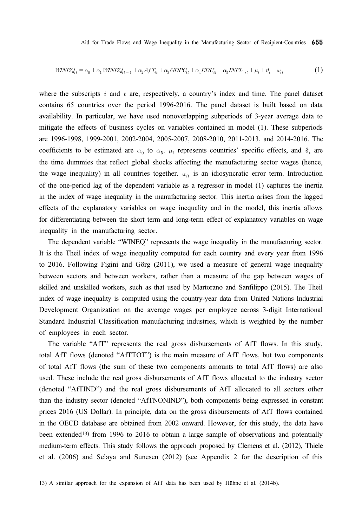$$
WINEQ_{it} = \alpha_0 + \alpha_1 WINEQ_{it-1} + \alpha_2 Aff_{it} + \alpha_3 GDPC_{it} + \alpha_4 EDU_{it} + \alpha_5 INFL_{it} + \mu_i + \vartheta_t + \omega_{it}
$$
\n
$$
\tag{1}
$$

where the subscripts  $i$  and  $t$  are, respectively, a country's index and time. The panel dataset contains 65 countries over the period 1996-2016. The panel dataset is built based on data availability. In particular, we have used nonoverlapping subperiods of 3-year average data to mitigate the effects of business cycles on variables contained in model (1). These subperiods are 1996-1998, 1999-2001, 2002-2004, 2005-2007, 2008-2010, 2011-2013, and 2014-2016. The coefficients to be estimated are  $\alpha_0$  to  $\alpha_5$ .  $\mu_i$  represents countries' specific effects, and  $\vartheta_t$  are the time dummies that reflect global shocks affecting the manufacturing sector wages (hence, the wage inequality) in all countries together.  $\omega_{it}$  is an idiosyncratic error term. Introduction of the one-period lag of the dependent variable as a regressor in model (1) captures the inertia in the index of wage inequality in the manufacturing sector. This inertia arises from the lagged effects of the explanatory variables on wage inequality and in the model, this inertia allows for differentiating between the short term and long-term effect of explanatory variables on wage inequality in the manufacturing sector.

The dependent variable "WINEQ" represents the wage inequality in the manufacturing sector. It is the Theil index of wage inequality computed for each country and every year from 1996 to 2016. Following Figini and Görg (2011), we used a measure of general wage inequality between sectors and between workers, rather than a measure of the gap between wages of skilled and unskilled workers, such as that used by Martorano and Sanfilippo (2015). The Theil index of wage inequality is computed using the country-year data from United Nations Industrial Development Organization on the average wages per employee across 3-digit International Standard Industrial Classification manufacturing industries, which is weighted by the number of employees in each sector.

The variable "AfT" represents the real gross disbursements of AfT flows. In this study, total AfT flows (denoted "AfTTOT") is the main measure of AfT flows, but two components of total AfT flows (the sum of these two components amounts to total AfT flows) are also used. These include the real gross disbursements of AfT flows allocated to the industry sector (denoted "AfTIND") and the real gross disbursements of AfT allocated to all sectors other than the industry sector (denoted "AfTNONIND"), both components being expressed in constant prices 2016 (US Dollar). In principle, data on the gross disbursements of AfT flows contained in the OECD database are obtained from 2002 onward. However, for this study, the data have been extended13) from 1996 to 2016 to obtain a large sample of observations and potentially medium-term effects. This study follows the approach proposed by Clemens et al. (2012), Thiele et al. (2006) and Selaya and Sunesen (2012) (see Appendix 2 for the description of this

<sup>13)</sup> A similar approach for the expansion of AfT data has been used by Hühne et al. (2014b).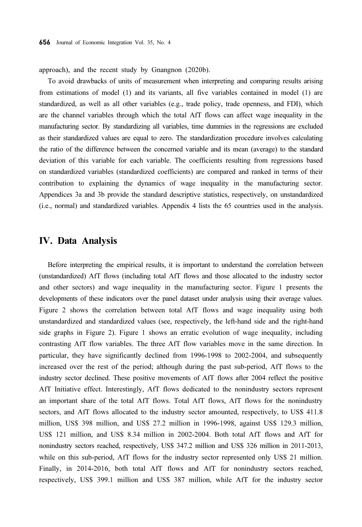approach), and the recent study by Gnangnon (2020b).

To avoid drawbacks of units of measurement when interpreting and comparing results arising from estimations of model (1) and its variants, all five variables contained in model (1) are standardized, as well as all other variables (e.g., trade policy, trade openness, and FDI), which are the channel variables through which the total AfT flows can affect wage inequality in the manufacturing sector. By standardizing all variables, time dummies in the regressions are excluded as their standardized values are equal to zero. The standardization procedure involves calculating the ratio of the difference between the concerned variable and its mean (average) to the standard deviation of this variable for each variable. The coefficients resulting from regressions based on standardized variables (standardized coefficients) are compared and ranked in terms of their contribution to explaining the dynamics of wage inequality in the manufacturing sector. Appendices 3a and 3b provide the standard descriptive statistics, respectively, on unstandardized (i.e., normal) and standardized variables. Appendix 4 lists the 65 countries used in the analysis.

### IV. Data Analysis

Before interpreting the empirical results, it is important to understand the correlation between (unstandardized) AfT flows (including total AfT flows and those allocated to the industry sector and other sectors) and wage inequality in the manufacturing sector. Figure 1 presents the developments of these indicators over the panel dataset under analysis using their average values. Figure 2 shows the correlation between total AfT flows and wage inequality using both unstandardized and standardized values (see, respectively, the left-hand side and the right-hand side graphs in Figure 2). Figure 1 shows an erratic evolution of wage inequality, including contrasting AfT flow variables. The three AfT flow variables move in the same direction. In particular, they have significantly declined from 1996-1998 to 2002-2004, and subsequently increased over the rest of the period; although during the past sub-period, AfT flows to the industry sector declined. These positive movements of AfT flows after 2004 reflect the positive AfT Initiative effect. Interestingly, AfT flows dedicated to the nonindustry sectors represent an important share of the total AfT flows. Total AfT flows, AfT flows for the nonindustry sectors, and AfT flows allocated to the industry sector amounted, respectively, to US\$ 411.8 million, US\$ 398 million, and US\$ 27.2 million in 1996-1998, against US\$ 129.3 million, US\$ 121 million, and US\$ 8.34 million in 2002-2004. Both total AfT flows and AfT for nonindustry sectors reached, respectively, US\$ 347.2 million and US\$ 326 million in 2011-2013, while on this sub-period, AfT flows for the industry sector represented only US\$ 21 million. Finally, in 2014-2016, both total AfT flows and AfT for nonindustry sectors reached, respectively, US\$ 399.1 million and US\$ 387 million, while AfT for the industry sector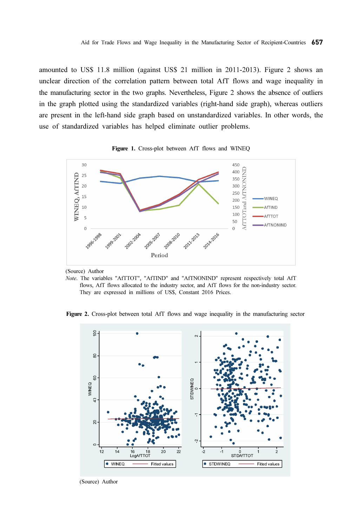amounted to US\$ 11.8 million (against US\$ 21 million in 2011-2013). Figure 2 shows an unclear direction of the correlation pattern between total AfT flows and wage inequality in the manufacturing sector in the two graphs. Nevertheless, Figure 2 shows the absence of outliers in the graph plotted using the standardized variables (right-hand side graph), whereas outliers are present in the left-hand side graph based on unstandardized variables. In other words, the use of standardized variables has helped eliminate outlier problems.





(Source) Author

Note. The variables "AfTTOT", "AfTIND" and "AfTNONIND" represent respectively total AfT flows, AfT flows allocated to the industry sector, and AfT flows for the non-industry sector. They are expressed in millions of US\$, Constant 2016 Prices.

Figure 2. Cross-plot between total AfT flows and wage inequality in the manufacturing sector



(Source) Author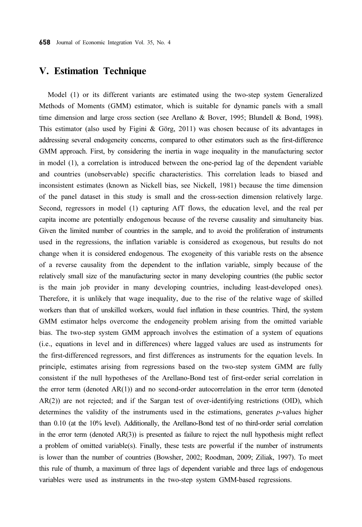# V. Estimation Technique

Model (1) or its different variants are estimated using the two-step system Generalized Methods of Moments (GMM) estimator, which is suitable for dynamic panels with a small time dimension and large cross section (see Arellano & Bover, 1995; Blundell & Bond, 1998). This estimator (also used by Figini & Görg, 2011) was chosen because of its advantages in addressing several endogeneity concerns, compared to other estimators such as the first-difference GMM approach. First, by considering the inertia in wage inequality in the manufacturing sector in model (1), a correlation is introduced between the one-period lag of the dependent variable and countries (unobservable) specific characteristics. This correlation leads to biased and inconsistent estimates (known as Nickell bias, see Nickell, 1981) because the time dimension of the panel dataset in this study is small and the cross-section dimension relatively large. Second, regressors in model (1) capturing AfT flows, the education level, and the real per capita income are potentially endogenous because of the reverse causality and simultaneity bias. Given the limited number of countries in the sample, and to avoid the proliferation of instruments used in the regressions, the inflation variable is considered as exogenous, but results do not change when it is considered endogenous. The exogeneity of this variable rests on the absence of a reverse causality from the dependent to the inflation variable, simply because of the relatively small size of the manufacturing sector in many developing countries (the public sector is the main job provider in many developing countries, including least-developed ones). Therefore, it is unlikely that wage inequality, due to the rise of the relative wage of skilled workers than that of unskilled workers, would fuel inflation in these countries. Third, the system GMM estimator helps overcome the endogeneity problem arising from the omitted variable bias. The two-step system GMM approach involves the estimation of a system of equations (i.e., equations in level and in differences) where lagged values are used as instruments for the first-differenced regressors, and first differences as instruments for the equation levels. In principle, estimates arising from regressions based on the two-step system GMM are fully consistent if the null hypotheses of the Arellano-Bond test of first-order serial correlation in the error term (denoted  $AR(1)$ ) and no second-order autocorrelation in the error term (denoted AR(2)) are not rejected; and if the Sargan test of over-identifying restrictions (OID), which determines the validity of the instruments used in the estimations, generates  $p$ -values higher than 0.10 (at the 10% level). Additionally, the Arellano-Bond test of no third-order serial correlation in the error term (denoted AR(3)) is presented as failure to reject the null hypothesis might reflect a problem of omitted variable(s). Finally, these tests are powerful if the number of instruments is lower than the number of countries (Bowsher, 2002; Roodman, 2009; Ziliak, 1997). To meet this rule of thumb, a maximum of three lags of dependent variable and three lags of endogenous variables were used as instruments in the two-step system GMM-based regressions.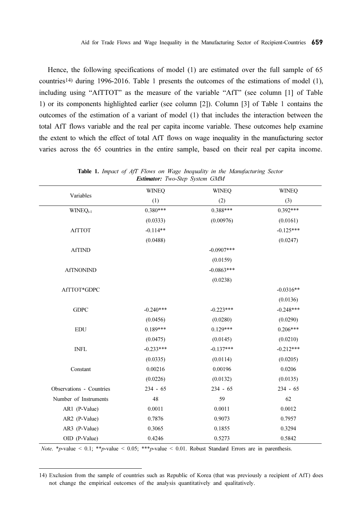Hence, the following specifications of model (1) are estimated over the full sample of 65 countries14) during 1996-2016. Table 1 presents the outcomes of the estimations of model (1), including using "AfTTOT" as the measure of the variable "AfT" (see column [1] of Table 1) or its components highlighted earlier (see column [2]). Column [3] of Table 1 contains the outcomes of the estimation of a variant of model (1) that includes the interaction between the total AfT flows variable and the real per capita income variable. These outcomes help examine the extent to which the effect of total AfT flows on wage inequality in the manufacturing sector varies across the 65 countries in the entire sample, based on their real per capita income.

| Variables                | <b>WINEQ</b> | <b>WINEQ</b> | <b>WINEQ</b> |
|--------------------------|--------------|--------------|--------------|
|                          | (1)          | (2)          | (3)          |
| WINEQ <sub>t-1</sub>     | $0.380***$   | 0.388***     | $0.392***$   |
|                          | (0.0333)     | (0.00976)    | (0.0161)     |
| <b>AfTTOT</b>            | $-0.114**$   |              | $-0.125***$  |
|                          | (0.0488)     |              | (0.0247)     |
| <b>AfTIND</b>            |              | $-0.0907***$ |              |
|                          |              | (0.0159)     |              |
| <b>AfTNONIND</b>         |              | $-0.0863***$ |              |
|                          |              | (0.0238)     |              |
| AfTTOT*GDPC              |              |              | $-0.0316**$  |
|                          |              |              | (0.0136)     |
| <b>GDPC</b>              | $-0.240***$  | $-0.223***$  | $-0.248***$  |
|                          | (0.0456)     | (0.0280)     | (0.0290)     |
| <b>EDU</b>               | $0.189***$   | $0.129***$   | $0.206***$   |
|                          | (0.0475)     | (0.0145)     | (0.0210)     |
| <b>INFL</b>              | $-0.233***$  | $-0.137***$  | $-0.212***$  |
|                          | (0.0335)     | (0.0114)     | (0.0205)     |
| Constant                 | 0.00216      | 0.00196      | 0.0206       |
|                          | (0.0226)     | (0.0132)     | (0.0135)     |
| Observations - Countries | $234 - 65$   | $234 - 65$   | $234 - 65$   |
| Number of Instruments    | 48           | 59           | 62           |
| AR1 (P-Value)            | 0.0011       | 0.0011       | 0.0012       |
| AR2 (P-Value)            | 0.7876       | 0.9073       | 0.7957       |
| AR3 (P-Value)            | 0.3065       | 0.1855       | 0.3294       |
| OID (P-Value)            | 0.4246       | 0.5273       | 0.5842       |

Table 1. Impact of AfT Flows on Wage Inequality in the Manufacturing Sector Estimator: Two-Step System GMM

Note. \* p-value < 0.1; \* \* p-value < 0.05; \* \* \* p-value < 0.01. Robust Standard Errors are in parenthesis.

<sup>14)</sup> Exclusion from the sample of countries such as Republic of Korea (that was previously a recipient of AfT) does not change the empirical outcomes of the analysis quantitatively and qualitatively.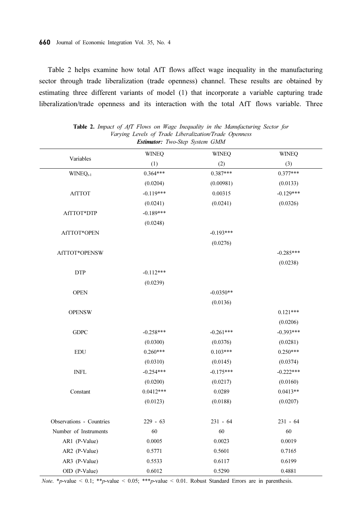Table 2 helps examine how total AfT flows affect wage inequality in the manufacturing sector through trade liberalization (trade openness) channel. These results are obtained by estimating three different variants of model (1) that incorporate a variable capturing trade liberalization/trade openness and its interaction with the total AfT flows variable. Three

|                                     | <b>WINEQ</b> | <b>WINEQ</b> | <b>WINEQ</b> |
|-------------------------------------|--------------|--------------|--------------|
| Variables                           | (1)          | (2)          | (3)          |
| WINEQ <sub>t-1</sub>                | $0.364***$   | 0.387***     | $0.377***$   |
|                                     | (0.0204)     | (0.00981)    | (0.0133)     |
| <b>AfTTOT</b>                       | $-0.119***$  | 0.00315      | $-0.129***$  |
|                                     | (0.0241)     | (0.0241)     | (0.0326)     |
| AfTTOT*DTP                          | $-0.189***$  |              |              |
|                                     | (0.0248)     |              |              |
| AfTTOT*OPEN                         |              | $-0.193***$  |              |
|                                     |              | (0.0276)     |              |
| AfTTOT*OPENSW                       |              |              | $-0.285***$  |
|                                     |              |              | (0.0238)     |
| <b>DTP</b>                          | $-0.112***$  |              |              |
|                                     | (0.0239)     |              |              |
| <b>OPEN</b>                         |              | $-0.0350**$  |              |
|                                     |              | (0.0136)     |              |
| <b>OPENSW</b>                       |              |              | $0.121***$   |
|                                     |              |              | (0.0206)     |
| $G\text{DPC}$                       | $-0.258***$  | $-0.261***$  | $-0.393***$  |
|                                     | (0.0300)     | (0.0376)     | (0.0281)     |
| <b>EDU</b>                          | $0.260***$   | $0.103***$   | $0.250***$   |
|                                     | (0.0310)     | (0.0145)     | (0.0374)     |
| $\ensuremath{\mathsf{INFL}}\xspace$ | $-0.254***$  | $-0.175***$  | $-0.222***$  |
|                                     | (0.0200)     | (0.0217)     | (0.0160)     |
| Constant                            | $0.0412***$  | 0.0289       | $0.0413**$   |
|                                     | (0.0123)     | (0.0188)     | (0.0207)     |
| Observations - Countries            | $229 - 63$   | $231 - 64$   | $231 - 64$   |
| Number of Instruments               | 60           | 60           | 60           |
| AR1 (P-Value)                       | 0.0005       | 0.0023       | 0.0019       |
| AR2 (P-Value)                       | 0.5771       | 0.5601       | 0.7165       |
| AR3 (P-Value)                       | 0.5533       | 0.6117       | 0.6199       |
| OID (P-Value)                       | 0.6012       | 0.5290       | 0.4881       |

Table 2. Impact of AfT Flows on Wage Inequality in the Manufacturing Sector for Varying Levels of Trade Liberalization/Trade Openness Estimator: Two-Step System GMM

Note. \* p-value < 0.1; \* \* p-value < 0.05; \* \* \* p-value < 0.01. Robust Standard Errors are in parenthesis.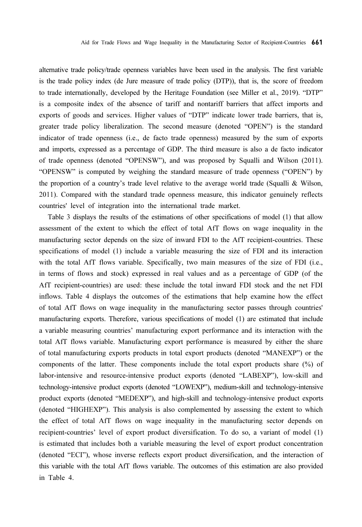alternative trade policy/trade openness variables have been used in the analysis. The first variable is the trade policy index (de Jure measure of trade policy (DTP)), that is, the score of freedom to trade internationally, developed by the Heritage Foundation (see Miller et al., 2019). "DTP" is a composite index of the absence of tariff and nontariff barriers that affect imports and exports of goods and services. Higher values of "DTP" indicate lower trade barriers, that is, greater trade policy liberalization. The second measure (denoted "OPEN") is the standard indicator of trade openness (i.e., de facto trade openness) measured by the sum of exports and imports, expressed as a percentage of GDP. The third measure is also a de facto indicator of trade openness (denoted "OPENSW"), and was proposed by Squalli and Wilson (2011). "OPENSW" is computed by weighing the standard measure of trade openness ("OPEN") by the proportion of a country's trade level relative to the average world trade (Squalli & Wilson, 2011). Compared with the standard trade openness measure, this indicator genuinely reflects countries' level of integration into the international trade market.

Table 3 displays the results of the estimations of other specifications of model (1) that allow assessment of the extent to which the effect of total AfT flows on wage inequality in the manufacturing sector depends on the size of inward FDI to the AfT recipient-countries. These specifications of model (1) include a variable measuring the size of FDI and its interaction with the total AfT flows variable. Specifically, two main measures of the size of FDI (i.e., in terms of flows and stock) expressed in real values and as a percentage of GDP (of the AfT recipient-countries) are used: these include the total inward FDI stock and the net FDI inflows. Table 4 displays the outcomes of the estimations that help examine how the effect of total AfT flows on wage inequality in the manufacturing sector passes through countries' manufacturing exports. Therefore, various specifications of model (1) are estimated that include a variable measuring countries' manufacturing export performance and its interaction with the total AfT flows variable. Manufacturing export performance is measured by either the share of total manufacturing exports products in total export products (denoted "MANEXP") or the components of the latter. These components include the total export products share (%) of labor-intensive and resource-intensive product exports (denoted "LABEXP"), low-skill and technology-intensive product exports (denoted "LOWEXP"), medium-skill and technology-intensive product exports (denoted "MEDEXP"), and high-skill and technology-intensive product exports (denoted "HIGHEXP"). This analysis is also complemented by assessing the extent to which the effect of total AfT flows on wage inequality in the manufacturing sector depends on recipient-countries' level of export product diversification. To do so, a variant of model (1) is estimated that includes both a variable measuring the level of export product concentration (denoted "ECI"), whose inverse reflects export product diversification, and the interaction of this variable with the total AfT flows variable. The outcomes of this estimation are also provided in Table 4.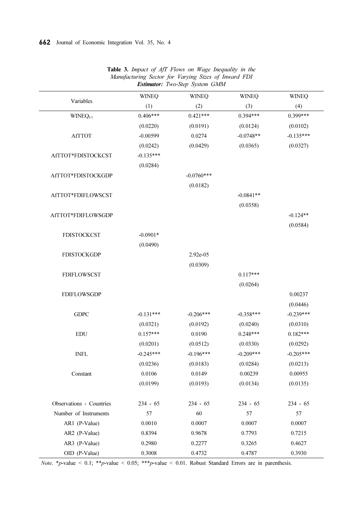| Variables                | <b>WINEQ</b> | <b>WINEQ</b> | <b>WINEQ</b> | <b>WINEQ</b> |
|--------------------------|--------------|--------------|--------------|--------------|
|                          | (1)          | (2)          | (3)          | (4)          |
| $WINEQ_{t-1}$            | $0.406***$   | $0.421***$   | $0.394***$   | 0.399***     |
|                          | (0.0220)     | (0.0191)     | (0.0124)     | (0.0102)     |
| <b>AfTTOT</b>            | $-0.00599$   | 0.0274       | $-0.0748**$  | $-0.135***$  |
|                          | (0.0242)     | (0.0429)     | (0.0365)     | (0.0327)     |
| AfTTOT*FDISTOCKCST       | $-0.135***$  |              |              |              |
|                          | (0.0284)     |              |              |              |
| AfTTOT*FDISTOCKGDP       |              | $-0.0760***$ |              |              |
|                          |              | (0.0182)     |              |              |
| AfTTOT*FDIFLOWSCST       |              |              | $-0.0841**$  |              |
|                          |              |              | (0.0358)     |              |
| AfTTOT*FDIFLOWSGDP       |              |              |              | $-0.124**$   |
|                          |              |              |              | (0.0584)     |
| <b>FDISTOCKCST</b>       | $-0.0901*$   |              |              |              |
|                          | (0.0490)     |              |              |              |
| <b>FDISTOCKGDP</b>       |              | 2.92e-05     |              |              |
|                          |              | (0.0309)     |              |              |
| <b>FDIFLOWSCST</b>       |              |              | $0.117***$   |              |
|                          |              |              | (0.0264)     |              |
| <b>FDIFLOWSGDP</b>       |              |              |              | 0.00237      |
|                          |              |              |              | (0.0446)     |
| <b>GDPC</b>              | $-0.131***$  | $-0.206***$  | $-0.358***$  | $-0.239***$  |
|                          | (0.0321)     | (0.0192)     | (0.0240)     | (0.0310)     |
| <b>EDU</b>               | $0.157***$   | 0.0190       | $0.248***$   | $0.182***$   |
|                          | (0.0201)     | (0.0512)     | (0.0330)     | (0.0292)     |
| <b>INFL</b>              | $-0.245***$  | $-0.196***$  | $-0.209***$  | $-0.205***$  |
|                          | (0.0236)     | (0.0183)     | (0.0284)     | (0.0213)     |
| Constant                 | 0.0106       | 0.0149       | 0.00239      | 0.00955      |
|                          | (0.0199)     | (0.0193)     | (0.0134)     | (0.0135)     |
| Observations - Countries | $234 - 65$   | $234 - 65$   | $234 - 65$   | $234 - 65$   |
| Number of Instruments    | 57           | 60           | 57           | 57           |
| AR1 (P-Value)            | 0.0010       | 0.0007       | 0.0007       | 0.0007       |
| AR2 (P-Value)            | 0.8394       | 0.9678       | 0.7793       | 0.7215       |
| AR3 (P-Value)            | 0.2980       | 0.2277       | 0.3265       | 0.4627       |
| OID (P-Value)            | 0.3008       | 0.4732       | 0.4787       | 0.3930       |

Table 3. Impact of AfT Flows on Wage Inequality in the Manufacturing Sector for Varying Sizes of Inward FDI Estimator: Two-Step System GMM

Note. \* p-value < 0.1; \* \* p-value < 0.05; \* \* \* p-value < 0.01. Robust Standard Errors are in parenthesis.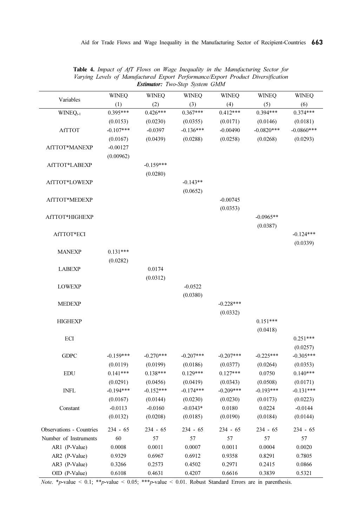| Variables                | <b>WINEQ</b> | <b>WINEQ</b> | <b>WINEQ</b> | <b>WINEQ</b> | <b>WINEQ</b> | <b>WINEQ</b>     |
|--------------------------|--------------|--------------|--------------|--------------|--------------|------------------|
|                          | (1)          | (2)          | (3)          | (4)          | (5)          | (6)              |
| WINEQ <sub>t-1</sub>     | $0.395***$   | $0.426***$   | $0.367***$   | $0.412***$   | $0.394***$   | $0.374***$       |
|                          | (0.0153)     | (0.0230)     | (0.0355)     | (0.0171)     | (0.0146)     | (0.0181)         |
| <b>AfTTOT</b>            | $-0.107***$  | $-0.0397$    | $-0.136***$  | $-0.00490$   | $-0.0820***$ | $-0.0860***$     |
|                          | (0.0167)     | (0.0439)     | (0.0288)     | (0.0258)     | (0.0268)     | (0.0293)         |
| AfTTOT*MANEXP            | $-0.00127$   |              |              |              |              |                  |
|                          | (0.00962)    |              |              |              |              |                  |
| AfTTOT*LABEXP            |              | $-0.159***$  |              |              |              |                  |
|                          |              | (0.0280)     |              |              |              |                  |
| AfTTOT*LOWEXP            |              |              | $-0.143**$   |              |              |                  |
|                          |              |              | (0.0652)     |              |              |                  |
| AfTTOT*MEDEXP            |              |              |              | $-0.00745$   |              |                  |
|                          |              |              |              | (0.0353)     |              |                  |
| AfTTOT*HIGHEXP           |              |              |              |              | $-0.0965**$  |                  |
|                          |              |              |              |              | (0.0387)     |                  |
| AfTTOT*ECI               |              |              |              |              |              | $-0.124***$      |
|                          |              |              |              |              |              | (0.0339)         |
| <b>MANEXP</b>            | $0.131***$   |              |              |              |              |                  |
|                          | (0.0282)     |              |              |              |              |                  |
| <b>LABEXP</b>            |              | 0.0174       |              |              |              |                  |
|                          |              | (0.0312)     |              |              |              |                  |
| <b>LOWEXP</b>            |              |              | $-0.0522$    |              |              |                  |
|                          |              |              | (0.0380)     |              |              |                  |
| <b>MEDEXP</b>            |              |              |              | $-0.228***$  |              |                  |
|                          |              |              |              | (0.0332)     |              |                  |
| <b>HIGHEXP</b>           |              |              |              |              | $0.151***$   |                  |
|                          |              |              |              |              | (0.0418)     |                  |
| ECI                      |              |              |              |              |              | $0.251***$       |
|                          |              |              |              |              |              | (0.0257)         |
| <b>GDPC</b>              | $-0.159***$  | $-0.270***$  | $-0.207***$  | $-0.207***$  | $-0.225***$  | $-0.305***$      |
|                          | (0.0119)     | (0.0199)     | (0.0186)     | (0.0377)     | (0.0264)     | (0.0353)         |
| <b>EDU</b>               | $0.141***$   | $0.138***$   | $0.129***$   | $0.127***$   | 0.0750       | $0.140***$       |
|                          | (0.0291)     | (0.0456)     | (0.0419)     | (0.0343)     | (0.0508)     | (0.0171)         |
| <b>INFL</b>              | $-0.194***$  | $-0.152***$  | $-0.174***$  | $-0.209***$  | $-0.193***$  | $-0.131***$      |
|                          | (0.0167)     | (0.0144)     | (0.0230)     | (0.0230)     | (0.0173)     | (0.0223)         |
| Constant                 | $-0.0113$    | $-0.0160$    | $-0.0343*$   | 0.0180       | 0.0224       | $-0.0144$        |
|                          | (0.0132)     | (0.0208)     | (0.0185)     | (0.0190)     | (0.0184)     | (0.0144)         |
| Observations - Countries | $234 - 65$   | $234 - 65$   | $234 - 65$   | $234 - 65$   | $234 - 65$   | $234 - 65$       |
| Number of Instruments    | 60           | 57           | 57           | 57           | 57           | 57               |
| AR1 (P-Value)            | 0.0008       | 0.0011       | 0.0007       | 0.0011       | 0.0004       | 0.0020           |
| AR2 (P-Value)            | 0.9329       | 0.6967       | 0.6912       | 0.9358       | 0.8291       | 0.7805           |
| AR3 (P-Value)            |              |              |              |              |              |                  |
| OID (P-Value)            | 0.3266       | 0.2573       | 0.4502       | 0.2971       | 0.2415       | 0.0866<br>0.5321 |
|                          | 0.6108       | 0.4631       | 0.4207       | 0.6616       | 0.3839       |                  |

Table 4. Impact of AfT Flows on Wage Inequality in the Manufacturing Sector for Varying Levels of Manufactured Export Performance/Export Product Diversification Estimator: Two-Step System GMM

Note. \* p-value < 0.1; \* \* p-value < 0.05; \* \* \* p-value < 0.01. Robust Standard Errors are in parenthesis.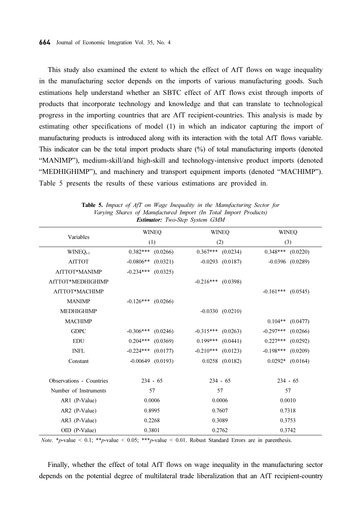This study also examined the extent to which the effect of AfT flows on wage inequality in the manufacturing sector depends on the imports of various manufacturing goods. Such estimations help understand whether an SBTC effect of AfT flows exist through imports of products that incorporate technology and knowledge and that can translate to technological progress in the importing countries that are AfT recipient-countries. This analysis is made by estimating other specifications of model (1) in which an indicator capturing the import of manufacturing products is introduced along with its interaction with the total AfT flows variable. This indicator can be the total import products share (%) of total manufacturing imports (denoted "MANIMP"), medium-skill/and high-skill and technology-intensive product imports (denoted "MEDHIGHIMP"), and machinery and transport equipment imports (denoted "MACHIMP"). Table 5 presents the results of these various estimations are provided in.

| $E$ <i>summon</i> , <i>I wo Diep Dysiem Owner</i> |                         |                         |                         |  |  |
|---------------------------------------------------|-------------------------|-------------------------|-------------------------|--|--|
|                                                   | <b>WINEO</b>            | <b>WINEO</b>            | <b>WINEO</b>            |  |  |
| Variables                                         | (1)                     | (2)                     | (3)                     |  |  |
| $WINEQ_{t-1}$                                     | $0.382***$<br>(0.0266)  | $0.367***$<br>(0.0234)  | $0.348***$<br>(0.0220)  |  |  |
| <b>AfTTOT</b>                                     | $-0.0806**$<br>(0.0321) | $-0.0293$ $(0.0187)$    | $-0.0396$ $(0.0289)$    |  |  |
| AfTTOT*MANIMP                                     | $-0.234***$ (0.0325)    |                         |                         |  |  |
| AfTTOT*MEDHIGHIMP                                 |                         | $-0.216***$ (0.0398)    |                         |  |  |
| AfTTOT*MACHIMP                                    |                         |                         | $-0.161***$<br>(0.0545) |  |  |
| <b>MANIMP</b>                                     | $-0.126***$<br>(0.0266) |                         |                         |  |  |
| <b>MEDHIGHIMP</b>                                 |                         | $-0.0330$ $(0.0210)$    |                         |  |  |
| <b>MACHIMP</b>                                    |                         |                         | $0.104**$<br>(0.0477)   |  |  |
| <b>GDPC</b>                                       | $-0.306***$<br>(0.0246) | $-0.315***$<br>(0.0263) | $-0.297***$<br>(0.0266) |  |  |
| <b>EDU</b>                                        | (0.0369)<br>$0.204***$  | $0.199***$<br>(0.0441)  | $0.227***$<br>(0.0292)  |  |  |
| <b>INFL</b>                                       | $-0.224***$<br>(0.0177) | $-0.210***$<br>(0.0123) | $-0.198***$<br>(0.0209) |  |  |
| Constant                                          | $-0.00649$ $(0.0193)$   | $0.0258$ $(0.0182)$     | $0.0292*$<br>(0.0164)   |  |  |
|                                                   |                         |                         |                         |  |  |
| <b>Observations - Countries</b>                   | $234 - 65$              | $234 - 65$              | $234 - 65$              |  |  |
| Number of Instruments                             | 57                      | 57                      | 57                      |  |  |
| AR1 (P-Value)                                     | 0.0006                  | 0.0006                  | 0.0010                  |  |  |
| AR2 (P-Value)                                     | 0.8995                  | 0.7607                  | 0.7318                  |  |  |
| AR3 (P-Value)                                     | 0.2268                  | 0.3089                  | 0.3753                  |  |  |
| OID (P-Value)                                     | 0.3801                  | 0.2762                  | 0.3742                  |  |  |

Table 5. Impact of AfT on Wage Inequality in the Manufacturing Sector for Varying Shares of Manufactured Import (In Total Import Products) Estimator: Two-Step System GMM

Note. \*p-value < 0.1; \*\*p-value < 0.05; \*\*\*p-value < 0.01. Robust Standard Errors are in parenthesis.

Finally, whether the effect of total AfT flows on wage inequality in the manufacturing sector depends on the potential degree of multilateral trade liberalization that an AfT recipient-country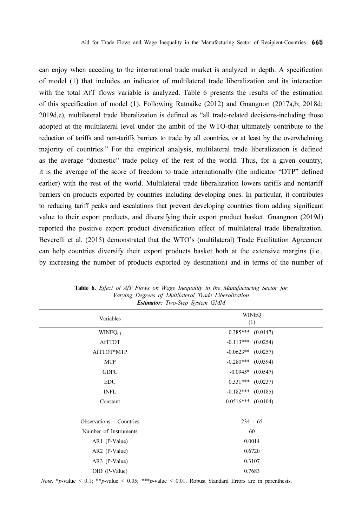can enjoy when acceding to the international trade market is analyzed in depth. A specification of model (1) that includes an indicator of multilateral trade liberalization and its interaction with the total AfT flows variable is analyzed. Table 6 presents the results of the estimation of this specification of model (1). Following Ratnaike (2012) and Gnangnon (2017a,b; 2018d; 2019d,e), multilateral trade liberalization is defined as "all trade-related decisions-including those adopted at the multilateral level under the ambit of the WTO-that ultimately contribute to the reduction of tariffs and non-tariffs barriers to trade by all countries, or at least by the overwhelming majority of countries." For the empirical analysis, multilateral trade liberalization is defined as the average "domestic" trade policy of the rest of the world. Thus, for a given country, it is the average of the score of freedom to trade internationally (the indicator "DTP" defined earlier) with the rest of the world. Multilateral trade liberalization lowers tariffs and nontariff barriers on products exported by countries including developing ones. In particular, it contributes to reducing tariff peaks and escalations that prevent developing countries from adding significant value to their export products, and diversifying their export product basket. Gnangnon (2019d) reported the positive export product diversification effect of multilateral trade liberalization. Beverelli et al. (2015) demonstrated that the WTO's (multilateral) Trade Facilitation Agreement can help countries diversify their export products basket both at the extensive margins (i.e., by increasing the number of products exported by destination) and in terms of the number of

| Variables                       | <b>WINEQ</b><br>(1)   |
|---------------------------------|-----------------------|
| $WINEQ_{t-1}$                   | $0.385***$ (0.0147)   |
| <b>AfTTOT</b>                   | $-0.113***$ (0.0254)  |
| AfTTOT*MTP                      | $-0.0623**$ (0.0257)  |
| <b>MTP</b>                      | $-0.280***$ (0.0394)  |
| <b>GDPC</b>                     | $-0.0945*$ (0.0547)   |
| <b>EDU</b>                      | $0.331***$ $(0.0237)$ |
| <b>INFL</b>                     | $-0.182***$ (0.0185)  |
| Constant                        | $0.0516***$ (0.0104)  |
| <b>Observations - Countries</b> | $234 - 65$            |
| Number of Instruments           | 60                    |
| AR1 (P-Value)                   | 0.0014                |
| AR2 (P-Value)                   | 0.6720                |
| AR3 (P-Value)                   | 0.3107                |
| OID (P-Value)                   | 0.7683                |

Table 6. Effect of AfT Flows on Wage Inequality in the Manufacturing Sector for Varying Degrees of Multilateral Trade Liberalization Estimator: Two-Step System GMM

Note. \*p-value < 0.1; \*\*p-value < 0.05; \*\*\*p-value < 0.01. Robust Standard Errors are in parenthesis.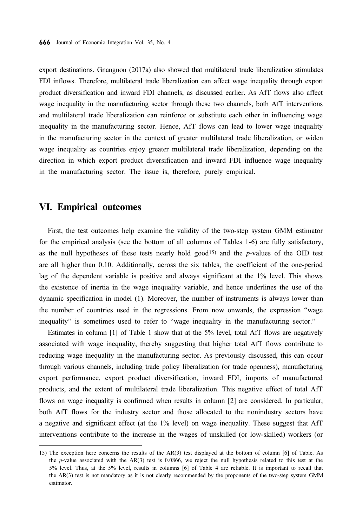export destinations. Gnangnon (2017a) also showed that multilateral trade liberalization stimulates FDI inflows. Therefore, multilateral trade liberalization can affect wage inequality through export product diversification and inward FDI channels, as discussed earlier. As AfT flows also affect wage inequality in the manufacturing sector through these two channels, both AfT interventions and multilateral trade liberalization can reinforce or substitute each other in influencing wage inequality in the manufacturing sector. Hence, AfT flows can lead to lower wage inequality in the manufacturing sector in the context of greater multilateral trade liberalization, or widen wage inequality as countries enjoy greater multilateral trade liberalization, depending on the direction in which export product diversification and inward FDI influence wage inequality in the manufacturing sector. The issue is, therefore, purely empirical.

#### VI. Empirical outcomes

First, the test outcomes help examine the validity of the two-step system GMM estimator for the empirical analysis (see the bottom of all columns of Tables 1-6) are fully satisfactory, as the null hypotheses of these tests nearly hold good<sup>15</sup>) and the p-values of the OID test are all higher than 0.10. Additionally, across the six tables, the coefficient of the one-period lag of the dependent variable is positive and always significant at the 1% level. This shows the existence of inertia in the wage inequality variable, and hence underlines the use of the dynamic specification in model (1). Moreover, the number of instruments is always lower than the number of countries used in the regressions. From now onwards, the expression "wage inequality" is sometimes used to refer to "wage inequality in the manufacturing sector."

Estimates in column [1] of Table 1 show that at the 5% level, total AfT flows are negatively associated with wage inequality, thereby suggesting that higher total AfT flows contribute to reducing wage inequality in the manufacturing sector. As previously discussed, this can occur through various channels, including trade policy liberalization (or trade openness), manufacturing export performance, export product diversification, inward FDI, imports of manufactured products, and the extent of multilateral trade liberalization. This negative effect of total AfT flows on wage inequality is confirmed when results in column [2] are considered. In particular, both AfT flows for the industry sector and those allocated to the nonindustry sectors have a negative and significant effect (at the 1% level) on wage inequality. These suggest that AfT interventions contribute to the increase in the wages of unskilled (or low-skilled) workers (or

<sup>15)</sup> The exception here concerns the results of the AR(3) test displayed at the bottom of column [6] of Table. As the p-value associated with the AR(3) test is 0.0866, we reject the null hypothesis related to this test at the 5% level. Thus, at the 5% level, results in columns [6] of Table 4 are reliable. It is important to recall that the AR(3) test is not mandatory as it is not clearly recommended by the proponents of the two-step system GMM estimator.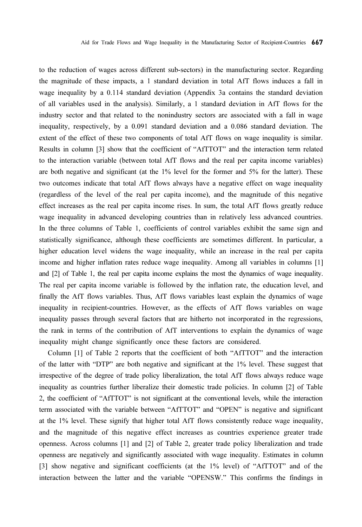to the reduction of wages across different sub-sectors) in the manufacturing sector. Regarding the magnitude of these impacts, a 1 standard deviation in total AfT flows induces a fall in wage inequality by a 0.114 standard deviation (Appendix 3a contains the standard deviation of all variables used in the analysis). Similarly, a 1 standard deviation in AfT flows for the industry sector and that related to the nonindustry sectors are associated with a fall in wage inequality, respectively, by a 0.091 standard deviation and a 0.086 standard deviation. The extent of the effect of these two components of total AfT flows on wage inequality is similar. Results in column [3] show that the coefficient of "AfTTOT" and the interaction term related to the interaction variable (between total AfT flows and the real per capita income variables) are both negative and significant (at the 1% level for the former and 5% for the latter). These two outcomes indicate that total AfT flows always have a negative effect on wage inequality (regardless of the level of the real per capita income), and the magnitude of this negative effect increases as the real per capita income rises. In sum, the total AfT flows greatly reduce wage inequality in advanced developing countries than in relatively less advanced countries. In the three columns of Table 1, coefficients of control variables exhibit the same sign and statistically significance, although these coefficients are sometimes different. In particular, a higher education level widens the wage inequality, while an increase in the real per capita income and higher inflation rates reduce wage inequality. Among all variables in columns [1] and [2] of Table 1, the real per capita income explains the most the dynamics of wage inequality. The real per capita income variable is followed by the inflation rate, the education level, and finally the AfT flows variables. Thus, AfT flows variables least explain the dynamics of wage inequality in recipient-countries. However, as the effects of AfT flows variables on wage inequality passes through several factors that are hitherto not incorporated in the regressions, the rank in terms of the contribution of AfT interventions to explain the dynamics of wage inequality might change significantly once these factors are considered.

Column [1] of Table 2 reports that the coefficient of both "AfTTOT" and the interaction of the latter with "DTP" are both negative and significant at the 1% level. These suggest that irrespective of the degree of trade policy liberalization, the total AfT flows always reduce wage inequality as countries further liberalize their domestic trade policies. In column [2] of Table 2, the coefficient of "AfTTOT" is not significant at the conventional levels, while the interaction term associated with the variable between "AfTTOT" and "OPEN" is negative and significant at the 1% level. These signify that higher total AfT flows consistently reduce wage inequality, and the magnitude of this negative effect increases as countries experience greater trade openness. Across columns [1] and [2] of Table 2, greater trade policy liberalization and trade openness are negatively and significantly associated with wage inequality. Estimates in column [3] show negative and significant coefficients (at the 1% level) of "AfTTOT" and of the interaction between the latter and the variable "OPENSW." This confirms the findings in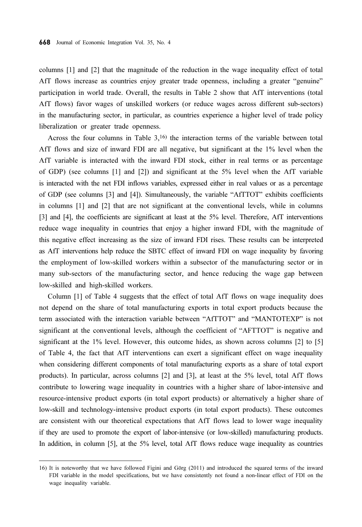columns [1] and [2] that the magnitude of the reduction in the wage inequality effect of total AfT flows increase as countries enjoy greater trade openness, including a greater "genuine" participation in world trade. Overall, the results in Table 2 show that AfT interventions (total AfT flows) favor wages of unskilled workers (or reduce wages across different sub-sectors) in the manufacturing sector, in particular, as countries experience a higher level of trade policy liberalization or greater trade openness.

Across the four columns in Table  $3,16$ ) the interaction terms of the variable between total AfT flows and size of inward FDI are all negative, but significant at the 1% level when the AfT variable is interacted with the inward FDI stock, either in real terms or as percentage of GDP) (see columns [1] and [2]) and significant at the 5% level when the AfT variable is interacted with the net FDI inflows variables, expressed either in real values or as a percentage of GDP (see columns [3] and [4]). Simultaneously, the variable "AfTTOT" exhibits coefficients in columns [1] and [2] that are not significant at the conventional levels, while in columns [3] and [4], the coefficients are significant at least at the 5% level. Therefore, AfT interventions reduce wage inequality in countries that enjoy a higher inward FDI, with the magnitude of this negative effect increasing as the size of inward FDI rises. These results can be interpreted as AfT interventions help reduce the SBTC effect of inward FDI on wage inequality by favoring the employment of low-skilled workers within a subsector of the manufacturing sector or in many sub-sectors of the manufacturing sector, and hence reducing the wage gap between low-skilled and high-skilled workers.

Column [1] of Table 4 suggests that the effect of total AfT flows on wage inequality does not depend on the share of total manufacturing exports in total export products because the term associated with the interaction variable between "AfTTOT" and "MANTOTEXP" is not significant at the conventional levels, although the coefficient of "AFTTOT" is negative and significant at the 1% level. However, this outcome hides, as shown across columns [2] to [5] of Table 4, the fact that AfT interventions can exert a significant effect on wage inequality when considering different components of total manufacturing exports as a share of total export products). In particular, across columns [2] and [3], at least at the 5% level, total AfT flows contribute to lowering wage inequality in countries with a higher share of labor-intensive and resource-intensive product exports (in total export products) or alternatively a higher share of low-skill and technology-intensive product exports (in total export products). These outcomes are consistent with our theoretical expectations that AfT flows lead to lower wage inequality if they are used to promote the export of labor-intensive (or low-skilled) manufacturing products. In addition, in column [5], at the 5% level, total AfT flows reduce wage inequality as countries

<sup>16)</sup> It is noteworthy that we have followed Figini and Görg (2011) and introduced the squared terms of the inward FDI variable in the model specifications, but we have consistently not found a non-linear effect of FDI on the wage inequality variable.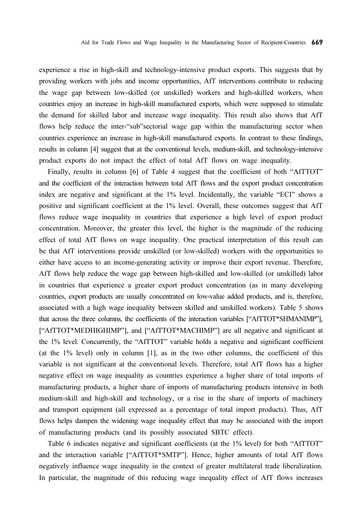experience a rise in high-skill and technology-intensive product exports. This suggests that by providing workers with jobs and income opportunities, AfT interventions contribute to reducing the wage gap between low-skilled (or unskilled) workers and high-skilled workers, when countries enjoy an increase in high-skill manufactured exports, which were supposed to stimulate the demand for skilled labor and increase wage inequality. This result also shows that AfT flows help reduce the inter-"sub"sectorial wage gap within the manufacturing sector when countries experience an increase in high-skill manufactured exports. In contrast to these findings, results in column [4] suggest that at the conventional levels, medium-skill, and technology-intensive product exports do not impact the effect of total AfT flows on wage inequality.

Finally, results in column [6] of Table 4 suggest that the coefficient of both "AfTTOT" and the coefficient of the interaction between total AfT flows and the export product concentration index are negative and significant at the 1% level. Incidentally, the variable "ECI" shows a positive and significant coefficient at the 1% level. Overall, these outcomes suggest that AfT flows reduce wage inequality in countries that experience a high level of export product concentration. Moreover, the greater this level, the higher is the magnitude of the reducing effect of total AfT flows on wage inequality. One practical interpretation of this result can be that AfT interventions provide unskilled (or low-skilled) workers with the opportunities to either have access to an income-generating activity or improve their export revenue. Therefore, AfT flows help reduce the wage gap between high-skilled and low-skilled (or unskilled) labor in countries that experience a greater export product concentration (as in many developing countries, export products are usually concentrated on low-value added products, and is, therefore, associated with a high wage inequality between skilled and unskilled workers). Table 5 shows that across the three columns, the coefficients of the interaction variables ["AfTTOT\*SHMANIMP"], ["AfTTOT\*MEDHIGHIMP"], and ["AfTTOT\*MACHIMP"] are all negative and significant at the 1% level. Concurrently, the "AfTTOT" variable holds a negative and significant coefficient (at the 1% level) only in column [1], as in the two other columns, the coefficient of this variable is not significant at the conventional levels. Therefore, total AfT flows has a higher negative effect on wage inequality as countries experience a higher share of total imports of manufacturing products, a higher share of imports of manufacturing products intensive in both medium-skill and high-skill and technology, or a rise in the share of imports of machinery and transport equipment (all expressed as a percentage of total import products). Thus, AfT flows helps dampen the widening wage inequality effect that may be associated with the import of manufacturing products (and its possibly associated SBTC effect).

Table 6 indicates negative and significant coefficients (at the 1% level) for both "AfTTOT" and the interaction variable ["AfTTOT\*SMTP"]. Hence, higher amounts of total AfT flows negatively influence wage inequality in the context of greater multilateral trade liberalization. In particular, the magnitude of this reducing wage inequality effect of AfT flows increases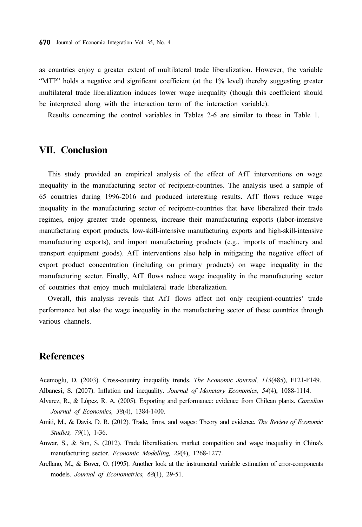as countries enjoy a greater extent of multilateral trade liberalization. However, the variable "MTP" holds a negative and significant coefficient (at the 1% level) thereby suggesting greater multilateral trade liberalization induces lower wage inequality (though this coefficient should be interpreted along with the interaction term of the interaction variable).

Results concerning the control variables in Tables 2-6 are similar to those in Table 1.

### VII. Conclusion

This study provided an empirical analysis of the effect of AfT interventions on wage inequality in the manufacturing sector of recipient-countries. The analysis used a sample of 65 countries during 1996-2016 and produced interesting results. AfT flows reduce wage inequality in the manufacturing sector of recipient-countries that have liberalized their trade regimes, enjoy greater trade openness, increase their manufacturing exports (labor-intensive manufacturing export products, low-skill-intensive manufacturing exports and high-skill-intensive manufacturing exports), and import manufacturing products (e.g., imports of machinery and transport equipment goods). AfT interventions also help in mitigating the negative effect of export product concentration (including on primary products) on wage inequality in the manufacturing sector. Finally, AfT flows reduce wage inequality in the manufacturing sector of countries that enjoy much multilateral trade liberalization.

Overall, this analysis reveals that AfT flows affect not only recipient-countries' trade performance but also the wage inequality in the manufacturing sector of these countries through various channels.

# **References**

- Acemoglu, D. (2003). Cross-country inequality trends. The Economic Journal, 113(485), F121-F149. Albanesi, S. (2007). Inflation and inequality. Journal of Monetary Economics, 54(4), 1088-1114.
- 
- Alvarez, R., & López, R. A. (2005). Exporting and performance: evidence from Chilean plants. Canadian Journal of Economics, 38(4), 1384-1400.
- Amiti, M., & Davis, D. R. (2012). Trade, firms, and wages: Theory and evidence. The Review of Economic Studies, 79(1), 1-36.
- Anwar, S., & Sun, S. (2012). Trade liberalisation, market competition and wage inequality in China's manufacturing sector. Economic Modelling, 29(4), 1268-1277.
- Arellano, M., & Bover, O. (1995). Another look at the instrumental variable estimation of error-components models. Journal of Econometrics, 68(1), 29-51.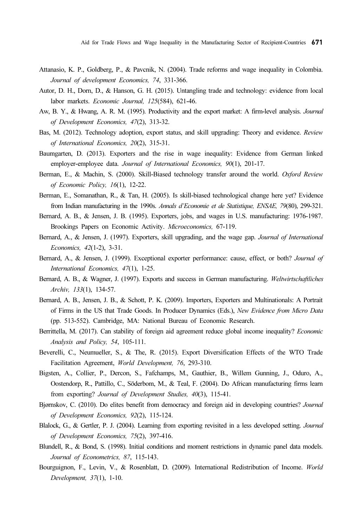- Attanasio, K. P., Goldberg, P., & Pavcnik, N. (2004). Trade reforms and wage inequality in Colombia. Journal of development Economics, 74, 331-366.
- Autor, D. H., Dorn, D., & Hanson, G. H. (2015). Untangling trade and technology: evidence from local labor markets. Economic Journal, 125(584), 621-46.
- Aw, B. Y., & Hwang, A. R. M. (1995). Productivity and the export market: A firm-level analysis. Journal of Development Economics, 47(2), 313-32.
- Bas, M. (2012). Technology adoption, export status, and skill upgrading: Theory and evidence. Review of International Economics, 20(2), 315-31.
- Baumgarten, D. (2013). Exporters and the rise in wage inequality: Evidence from German linked employer-employee data. Journal of International Economics, 90(1), 201-17.
- Berman, E., & Machin, S. (2000). Skill-Biased technology transfer around the world. Oxford Review of Economic Policy, 16(1), 12-22.
- Berman, E., Somanathan, R., & Tan, H. (2005). Is skill-biased technological change here yet? Evidence from Indian manufacturing in the 1990s. Annals d'Economie et de Statistique, ENSAE, 79(80), 299-321.
- Bernard, A. B., & Jensen, J. B. (1995). Exporters, jobs, and wages in U.S. manufacturing: 1976-1987. Brookings Papers on Economic Activity. Microeconomics, 67-119.
- Bernard, A., & Jensen, J. (1997). Exporters, skill upgrading, and the wage gap. Journal of International Economics, 42(1-2), 3-31.
- Bernard, A., & Jensen, J. (1999). Exceptional exporter performance: cause, effect, or both? Journal of International Economics, 47(1), 1-25.
- Bernard, A. B., & Wagner, J. (1997). Exports and success in German manufacturing. Weltwirtschaftliches Archiv, 133(1), 134-57.
- Bernard, A. B., Jensen, J. B., & Schott, P. K. (2009). Importers, Exporters and Multinationals: A Portrait of Firms in the US that Trade Goods. In Producer Dynamics (Eds.), New Evidence from Micro Data (pp. 513-552). Cambridge, MA: National Bureau of Economic Research.
- Berrittella, M. (2017). Can stability of foreign aid agreement reduce global income inequality? Economic Analysis and Policy, 54, 105-111.
- Beverelli, C., Neumueller, S., & The, R. (2015). Export Diversification Effects of the WTO Trade Facilitation Agreement, World Development, 76, 293-310.
- Bigsten, A., Collier, P., Dercon, S., Fafchamps, M., Gauthier, B., Willem Gunning, J., Oduro, A., Oostendorp, R., Pattillo, C., Söderbom, M., & Teal, F. (2004). Do African manufacturing firms learn from exporting? Journal of Development Studies, 40(3), 115-41.
- Bjørnskov, C. (2010). Do elites benefit from democracy and foreign aid in developing countries? Journal of Development Economics, 92(2), 115-124.
- Blalock, G., & Gertler, P. J. (2004). Learning from exporting revisited in a less developed setting. Journal of Development Economics, 75(2), 397-416.
- Blundell, R., & Bond, S. (1998). Initial conditions and moment restrictions in dynamic panel data models. Journal of Econometrics, 87, 115-143.
- Bourguignon, F., Levin, V., & Rosenblatt, D. (2009). International Redistribution of Income. World Development, 37(1), 1-10.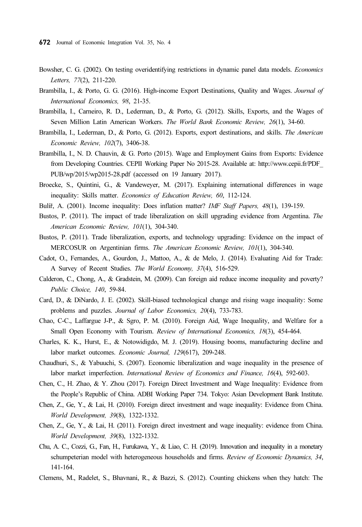- Bowsher, C. G. (2002). On testing overidentifying restrictions in dynamic panel data models. Economics Letters, 77(2), 211-220.
- Brambilla, I., & Porto, G. G. (2016). High-income Export Destinations, Quality and Wages. Journal of International Economics, 98, 21-35.
- Brambilla, I., Carneiro, R. D., Lederman, D., & Porto, G. (2012). Skills, Exports, and the Wages of Seven Million Latin American Workers. The World Bank Economic Review, 26(1), 34-60.
- Brambilla, I., Lederman, D., & Porto, G. (2012). Exports, export destinations, and skills. The American Economic Review, 102(7), 3406-38.
- Brambilla, I., N. D. Chauvin, & G. Porto (2015). Wage and Employment Gains from Exports: Evidence from Developing Countries. CEPII Working Paper No 2015-28. Available at: http://www.cepii.fr/PDF\_ PUB/wp/2015/wp2015-28.pdf (accessed on 19 January 2017).
- Broecke, S., Quintini, G., & Vandeweyer, M. (2017). Explaining international differences in wage inequality: Skills matter. Economics of Education Review, 60, 112-124.
- Bulíř, A. (2001). Income inequality: Does inflation matter? IMF Staff Papers, 48(1), 139-159.
- Bustos, P. (2011). The impact of trade liberalization on skill upgrading evidence from Argentina. The American Economic Review, 101(1), 304-340.
- Bustos, P. (2011). Trade liberalization, exports, and technology upgrading: Evidence on the impact of MERCOSUR on Argentinian firms. The American Economic Review, 101(1), 304-340.
- Cadot, O., Fernandes, A., Gourdon, J., Mattoo, A., & de Melo, J. (2014). Evaluating Aid for Trade: A Survey of Recent Studies. The World Economy, 37(4), 516-529.
- Calderon, C., Chong, A., & Gradstein, M. (2009). Can foreign aid reduce income inequality and poverty? Public Choice, 140, 59-84.
- Card, D., & DiNardo, J. E. (2002). Skill-biased technological change and rising wage inequality: Some problems and puzzles. Journal of Labor Economics, 20(4), 733-783.
- Chao, C-C., Laffargue J-P., & Sgro, P. M. (2010). Foreign Aid, Wage Inequality, and Welfare for a Small Open Economy with Tourism. Review of International Economics, 18(3), 454-464.
- Charles, K. K., Hurst, E., & Notowidigdo, M. J. (2019). Housing booms, manufacturing decline and labor market outcomes. Economic Journal, 129(617), 209-248.
- Chaudhuri, S., & Yabuuchi, S. (2007). Economic liberalization and wage inequality in the presence of labor market imperfection. International Review of Economics and Finance, 16(4), 592-603.
- Chen, C., H. Zhao, & Y. Zhou (2017). Foreign Direct Investment and Wage Inequality: Evidence from the People's Republic of China. ADBI Working Paper 734. Tokyo: Asian Development Bank Institute.
- Chen, Z., Ge, Y., & Lai, H. (2010). Foreign direct investment and wage inequality: Evidence from China. World Development, 39(8), 1322-1332.
- Chen, Z., Ge, Y., & Lai, H. (2011). Foreign direct investment and wage inequality: evidence from China. World Development, 39(8), 1322-1332.
- Chu, A. C., Cozzi, G., Fan, H., Furukawa, Y., & Liao, C. H. (2019). Innovation and inequality in a monetary schumpeterian model with heterogeneous households and firms. Review of Economic Dynamics, 34, 141-164.
- Clemens, M., Radelet, S., Bhavnani, R., & Bazzi, S. (2012). Counting chickens when they hatch: The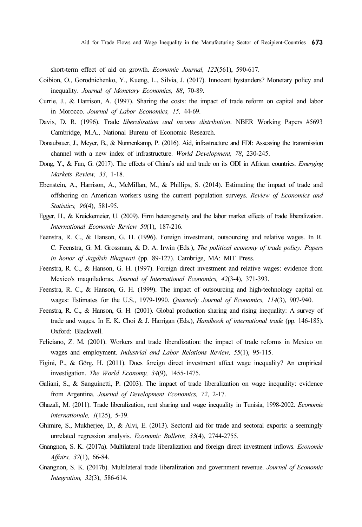short-term effect of aid on growth. Economic Journal, 122(561), 590-617.

- Coibion, O., Gorodnichenko, Y., Kueng, L., Silvia, J. (2017). Innocent bystanders? Monetary policy and inequality. Journal of Monetary Economics, 88, 70-89.
- Currie, J., & Harrison, A. (1997). Sharing the costs: the impact of trade reform on capital and labor in Morocco. Journal of Labor Economics, 15, 44-69.
- Davis, D. R. (1996). Trade *liberalisation and income distribution*. NBER Working Papers #5693 Cambridge, M.A., National Bureau of Economic Research.
- Donaubauer, J., Meyer, B., & Nunnenkamp, P. (2016). Aid, infrastructure and FDI: Assessing the transmission channel with a new index of infrastructure. World Development, 78, 230-245.
- Dong, Y., & Fan, G. (2017). The effects of China's aid and trade on its ODI in African countries. Emerging Markets Review, 33, 1-18.
- Ebenstein, A., Harrison, A., McMillan, M., & Phillips, S. (2014). Estimating the impact of trade and offshoring on American workers using the current population surveys. Review of Economics and Statistics, 96(4), 581-95.
- Egger, H., & Kreickemeier, U. (2009). Firm heterogeneity and the labor market effects of trade liberalization. International Economic Review 50(1), 187-216.
- Feenstra, R. C., & Hanson, G. H. (1996). Foreign investment, outsourcing and relative wages. In R. C. Feenstra, G. M. Grossman, & D. A. Irwin (Eds.), The political economy of trade policy: Papers in honor of Jagdish Bhagwati (pp. 89-127). Cambrige, MA: MIT Press.
- Feenstra, R. C., & Hanson, G. H. (1997). Foreign direct investment and relative wages: evidence from Mexico's maquiladoras. Journal of International Economics, 42(3-4), 371-393.
- Feenstra, R. C., & Hanson, G. H. (1999). The impact of outsourcing and high-technology capital on wages: Estimates for the U.S., 1979-1990. Quarterly Journal of Economics, 114(3), 907-940.
- Feenstra, R. C., & Hanson, G. H. (2001). Global production sharing and rising inequality: A survey of trade and wages. In E. K. Choi & J. Harrigan (Eds.), Handbook of international trade (pp. 146-185). Oxford: Blackwell.
- Feliciano, Z. M. (2001). Workers and trade liberalization: the impact of trade reforms in Mexico on wages and employment. Industrial and Labor Relations Review, 55(1), 95-115.
- Figini, P., & Görg, H. (2011). Does foreign direct investment affect wage inequality? An empirical investigation. The World Economy, 34(9), 1455-1475.
- Galiani, S., & Sanguinetti, P. (2003). The impact of trade liberalization on wage inequality: evidence from Argentina. Journal of Development Economics, 72, 2-17.
- Ghazali, M. (2011). Trade liberalization, rent sharing and wage inequality in Tunisia, 1998-2002. Economie internationale, 1(125), 5-39.
- Ghimire, S., Mukherjee, D., & Alvi, E. (2013). Sectoral aid for trade and sectoral exports: a seemingly unrelated regression analysis. Economic Bulletin, 33(4), 2744-2755.
- Gnangnon, S. K. (2017a). Multilateral trade liberalization and foreign direct investment inflows. Economic Affairs, 37(1), 66-84.
- Gnangnon, S. K. (2017b). Multilateral trade liberalization and government revenue. Journal of Economic Integration, 32(3), 586-614.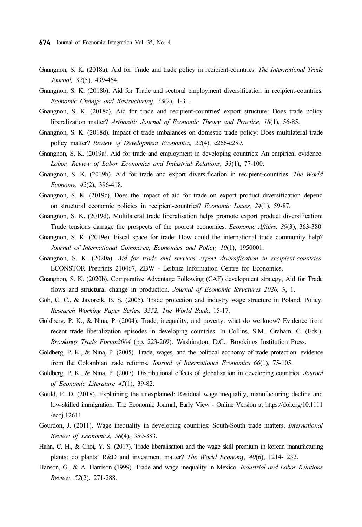- Gnangnon, S. K. (2018a). Aid for Trade and trade policy in recipient-countries. The International Trade Journal, 32(5), 439-464.
- Gnangnon, S. K. (2018b). Aid for Trade and sectoral employment diversification in recipient-countries. Economic Change and Restructuring, 53(2), 1-31.
- Gnangnon, S. K. (2018c). Aid for trade and recipient-countries' export structure: Does trade policy liberalization matter? Arthaniti: Journal of Economic Theory and Practice, 18(1), 56-85.
- Gnangnon, S. K. (2018d). Impact of trade imbalances on domestic trade policy: Does multilateral trade policy matter? Review of Development Economics, 22(4), e266-e289.
- Gnangnon, S. K. (2019a). Aid for trade and employment in developing countries: An empirical evidence. Labor, Review of Labor Economics and Industrial Relations, 33(1), 77-100.
- Gnangnon, S. K. (2019b). Aid for trade and export diversification in recipient-countries. The World Economy, 42(2), 396-418.
- Gnangnon, S. K. (2019c). Does the impact of aid for trade on export product diversification depend on structural economic policies in recipient-countries? Economic Issues, 24(1), 59-87.
- Gnangnon, S. K. (2019d). Multilateral trade liberalisation helps promote export product diversification: Trade tensions damage the prospects of the poorest economies. Economic Affairs, 39(3), 363-380.
- Gnangnon, S. K. (2019e). Fiscal space for trade: How could the international trade community help? Journal of International Commerce, Economics and Policy, 10(1), 1950001.
- Gnangnon, S. K. (2020a). Aid for trade and services export diversification in recipient-countries. ECONSTOR Preprints 210467, ZBW - Leibniz Information Centre for Economics.
- Gnangnon, S. K. (2020b). Comparative Advantage Following (CAF) development strategy, Aid for Trade flows and structural change in production. Journal of Economic Structures 2020, 9, 1.
- Goh, C. C., & Javorcik, B. S. (2005). Trade protection and industry wage structure in Poland. Policy. Research Working Paper Series, 3552, The World Bank, 15-17.
- Goldberg, P. K., & Nina, P. (2004). Trade, inequality, and poverty: what do we know? Evidence from recent trade liberalization episodes in developing countries. In Collins, S.M., Graham, C. (Eds.), Brookings Trade Forum2004 (pp. 223-269). Washington, D.C.: Brookings Institution Press.
- Goldberg, P. K., & Nina, P. (2005). Trade, wages, and the political economy of trade protection: evidence from the Colombian trade reforms. Journal of International Economics 66(1), 75-105.
- Goldberg, P. K., & Nina, P. (2007). Distributional effects of globalization in developing countries. Journal of Economic Literature 45(1), 39-82.
- Gould, E. D. (2018). Explaining the unexplained: Residual wage inequality, manufacturing decline and low-skilled immigration. The Economic Journal, Early View - Online Version at https://doi.org/10.1111 /ecoj.12611
- Gourdon, J. (2011). Wage inequality in developing countries: South-South trade matters. *International* Review of Economics, 58(4), 359-383.
- Hahn, C. H., & Choi, Y. S. (2017). Trade liberalisation and the wage skill premium in korean manufacturing plants: do plants' R&D and investment matter? The World Economy, 40(6), 1214-1232.
- Hanson, G., & A. Harrison (1999). Trade and wage inequality in Mexico. *Industrial and Labor Relations* Review, 52(2), 271-288.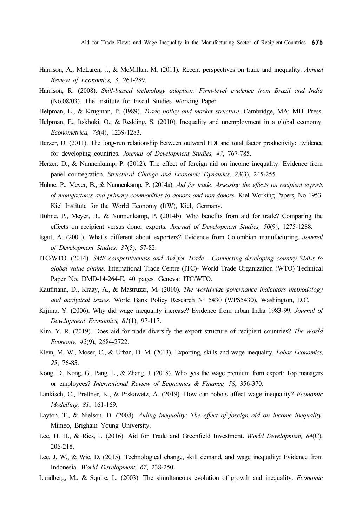Aid for Trade Flows and Wage Inequality in the Manufacturing Sector of Recipient-Countries 675

- Harrison, A., McLaren, J., & McMillan, M. (2011). Recent perspectives on trade and inequality. Annual Review of Economics, 3, 261-289.
- Harrison, R. (2008). Skill-biased technology adoption: Firm-level evidence from Brazil and India (No.08/03). The Institute for Fiscal Studies Working Paper.
- Helpman, E., & Krugman, P. (1989). Trade policy and market structure. Cambridge, MA: MIT Press.
- Helpman, E., Itskhoki, O., & Redding, S. (2010). Inequality and unemployment in a global economy. Econometrica, 78(4), 1239-1283.
- Herzer, D. (2011). The long-run relationship between outward FDI and total factor productivity: Evidence for developing countries. Journal of Development Studies, 47, 767-785.
- Herzer, D., & Nunnenkamp, P. (2012). The effect of foreign aid on income inequality: Evidence from panel cointegration. Structural Change and Economic Dynamics, 23(3), 245-255.
- Hühne, P., Meyer, B., & Nunnenkamp, P. (2014a). Aid for trade: Assessing the effects on recipient exports of manufactures and primary commodities to donors and non-donors. Kiel Working Papers, No 1953. Kiel Institute for the World Economy (IfW), Kiel, Germany.
- Hühne, P., Meyer, B., & Nunnenkamp, P. (2014b). Who benefits from aid for trade? Comparing the effects on recipient versus donor exports. Journal of Development Studies, 50(9), 1275-1288.
- Isgut, A. (2001). What's different about exporters? Evidence from Colombian manufacturing. Journal of Development Studies, 37(5), 57-82.
- ITC/WTO. (2014). SME competitiveness and Aid for Trade Connecting developing country SMEs to global value chains. International Trade Centre (ITC)- World Trade Organization (WTO) Technical Paper No. DMD-14-264-E, 40 pages. Geneva: ITC/WTO.
- Kaufmann, D., Kraay, A., & Mastruzzi, M. (2010). The worldwide governance indicators methodology and analytical issues. World Bank Policy Research  $N^{\circ}$  5430 (WPS5430), Washington, D.C.
- Kijima, Y. (2006). Why did wage inequality increase? Evidence from urban India 1983-99. Journal of Development Economics, 81(1), 97-117.
- Kim, Y. R. (2019). Does aid for trade diversify the export structure of recipient countries? The World Economy, 42(9), 2684-2722.
- Klein, M. W., Moser, C., & Urban, D. M. (2013). Exporting, skills and wage inequality. Labor Economics, 25, 76-85.
- Kong, D., Kong, G., Pang, L., & Zhang, J. (2018). Who gets the wage premium from export: Top managers or employees? International Review of Economics & Finance, 58, 356-370.
- Lankisch, C., Prettner, K., & Prskawetz, A. (2019). How can robots affect wage inequality? Economic Modelling, 81, 161-169.
- Layton, T., & Nielson, D. (2008). Aiding inequality: The effect of foreign aid on income inequality. Mimeo, Brigham Young University.
- Lee, H. H., & Ries, J. (2016). Aid for Trade and Greenfield Investment. World Development, 84(C), 206-218.
- Lee, J. W., & Wie, D. (2015). Technological change, skill demand, and wage inequality: Evidence from Indonesia. World Development, 67, 238-250.
- Lundberg, M., & Squire, L. (2003). The simultaneous evolution of growth and inequality. Economic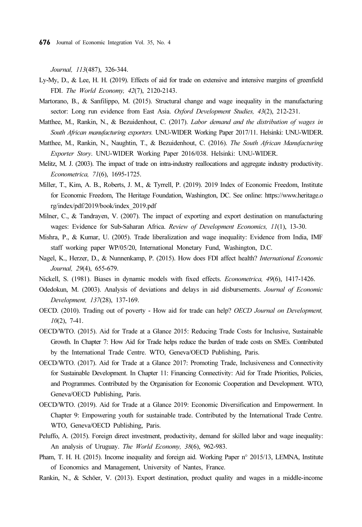Journal, 113(487), 326-344.

- Ly-My, D., & Lee, H. H. (2019). Effects of aid for trade on extensive and intensive margins of greenfield FDI. The World Economy, 42(7), 2120-2143.
- Martorano, B., & Sanfilippo, M. (2015). Structural change and wage inequality in the manufacturing sector: Long run evidence from East Asia. Oxford Development Studies, 43(2), 212-231.
- Matthee, M., Rankin, N., & Bezuidenhout, C. (2017). Labor demand and the distribution of wages in South African manufacturing exporters. UNU-WIDER Working Paper 2017/11. Helsinki: UNU-WIDER.
- Matthee, M., Rankin, N., Naughtin, T., & Bezuidenhout, C. (2016). The South African Manufacturing Exporter Story. UNU-WIDER Working Paper 2016/038. Helsinki: UNU-WIDER.
- Melitz, M. J. (2003). The impact of trade on intra-industry reallocations and aggregate industry productivity. Econometrica, 71(6), 1695-1725.
- Miller, T., Kim, A. B., Roberts, J. M., & Tyrrell, P. (2019). 2019 Index of Economic Freedom, Institute for Economic Freedom, The Heritage Foundation, Washington, DC. See online: https://www.heritage.o rg/index/pdf/2019/book/index\_2019.pdf
- Milner, C., & Tandrayen, V. (2007). The impact of exporting and export destination on manufacturing wages: Evidence for Sub-Saharan Africa. Review of Development Economics, 11(1), 13-30.
- Mishra, P., & Kumar, U. (2005). Trade liberalization and wage inequality: Evidence from India, IMF staff working paper WP/05/20, International Monetary Fund, Washington, D.C.
- Nagel, K., Herzer, D., & Nunnenkamp, P. (2015). How does FDI affect health? International Economic Journal, 29(4), 655-679.
- Nickell, S. (1981). Biases in dynamic models with fixed effects. Econometrica, 49(6), 1417-1426.
- Odedokun, M. (2003). Analysis of deviations and delays in aid disbursements. Journal of Economic Development, 137(28), 137-169.
- OECD. (2010). Trading out of poverty How aid for trade can help? OECD Journal on Development,  $10(2)$ , 7-41.
- OECD/WTO. (2015). Aid for Trade at a Glance 2015: Reducing Trade Costs for Inclusive, Sustainable Growth. In Chapter 7: How Aid for Trade helps reduce the burden of trade costs on SMEs. Contributed by the International Trade Centre. WTO, Geneva/OECD Publishing, Paris.
- OECD/WTO. (2017). Aid for Trade at a Glance 2017: Promoting Trade, Inclusiveness and Connectivity for Sustainable Development. In Chapter 11: Financing Connectivity: Aid for Trade Priorities, Policies, and Programmes. Contributed by the Organisation for Economic Cooperation and Development. WTO, Geneva/OECD Publishing, Paris.
- OECD/WTO. (2019). Aid for Trade at a Glance 2019: Economic Diversification and Empowerment. In Chapter 9: Empowering youth for sustainable trade. Contributed by the International Trade Centre. WTO, Geneva/OECD Publishing, Paris.
- Peluffo, A. (2015). Foreign direct investment, productivity, demand for skilled labor and wage inequality: An analysis of Uruguay. The World Economy, 38(6), 962-983.
- Pham, T. H. H. (2015). Income inequality and foreign aid. Working Paper n° 2015/13, LEMNA, Institute of Economics and Management, University of Nantes, France.
- Rankin, N., & Schöer, V. (2013). Export destination, product quality and wages in a middle-income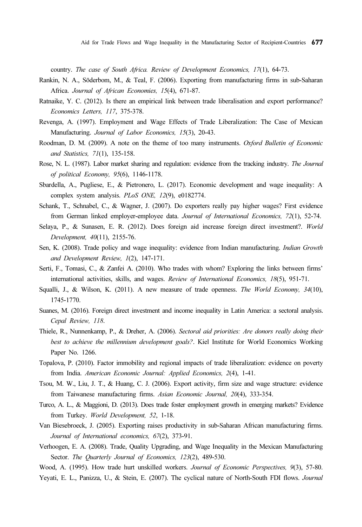country. The case of South Africa. Review of Development Economics, 17(1), 64-73.

- Rankin, N. A., Söderbom, M., & Teal, F. (2006). Exporting from manufacturing firms in sub-Saharan Africa. Journal of African Economies, 15(4), 671-87.
- Ratnaike, Y. C. (2012). Is there an empirical link between trade liberalisation and export performance? Economics Letters, 117, 375-378.
- Revenga, A. (1997). Employment and Wage Effects of Trade Liberalization: The Case of Mexican Manufacturing. Journal of Labor Economics, 15(3), 20-43.
- Roodman, D. M. (2009). A note on the theme of too many instruments. Oxford Bulletin of Economic and Statistics, 71(1), 135-158.
- Rose, N. L. (1987). Labor market sharing and regulation: evidence from the tracking industry. The Journal of political Economy, 95(6), 1146-1178.
- Sbardella, A., Pugliese, E., & Pietronero, L. (2017). Economic development and wage inequality: A complex system analysis. PLoS ONE, 12(9), e0182774.
- Schank, T., Schnabel, C., & Wagner, J. (2007). Do exporters really pay higher wages? First evidence from German linked employer-employee data. Journal of International Economics, 72(1), 52-74.
- Selaya, P., & Sunasen, E. R. (2012). Does foreign aid increase foreign direct investment?. World Development, 40(11), 2155-76.
- Sen, K. (2008). Trade policy and wage inequality: evidence from Indian manufacturing. Indian Growth and Development Review, 1(2), 147-171.
- Serti, F., Tomasi, C., & Zanfei A. (2010). Who trades with whom? Exploring the links between firms' international activities, skills, and wages. Review of International Economics, 18(5), 951-71.
- Squalli, J., & Wilson, K. (2011). A new measure of trade openness. The World Economy, 34(10), 1745-1770.
- Suanes, M. (2016). Foreign direct investment and income inequality in Latin America: a sectoral analysis. Cepal Review, 118.
- Thiele, R., Nunnenkamp, P., & Dreher, A. (2006). Sectoral aid priorities: Are donors really doing their best to achieve the millennium development goals?. Kiel Institute for World Economics Working Paper No. 1266.
- Topalova, P. (2010). Factor immobility and regional impacts of trade liberalization: evidence on poverty from India. American Economic Journal: Applied Economics, 2(4), 1-41.
- Tsou, M. W., Liu, J. T., & Huang, C. J. (2006). Export activity, firm size and wage structure: evidence from Taiwanese manufacturing firms. Asian Economic Journal, 20(4), 333-354.
- Turco, A. L., & Maggioni, D. (2013). Does trade foster employment growth in emerging markets? Evidence from Turkey. World Development, 52, 1-18.
- Van Biesebroeck, J. (2005). Exporting raises productivity in sub-Saharan African manufacturing firms. Journal of International economics, 67(2), 373-91.
- Verhoogen, E. A. (2008). Trade, Quality Upgrading, and Wage Inequality in the Mexican Manufacturing Sector. The Quarterly Journal of Economics, 123(2), 489-530.
- Wood, A. (1995). How trade hurt unskilled workers. Journal of Economic Perspectives, 9(3), 57-80.
- Yeyati, E. L., Panizza, U., & Stein, E. (2007). The cyclical nature of North-South FDI flows. Journal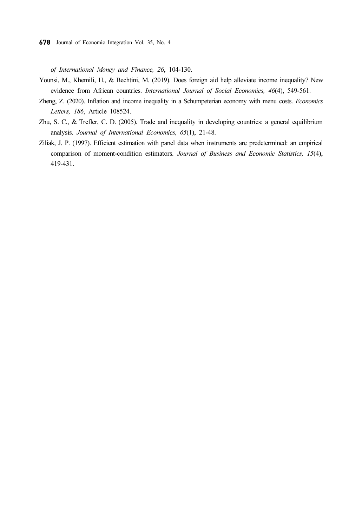of International Money and Finance, 26, 104-130.

- Younsi, M., Khemili, H., & Bechtini, M. (2019). Does foreign aid help alleviate income inequality? New evidence from African countries. International Journal of Social Economics, 46(4), 549-561.
- Zheng, Z. (2020). Inflation and income inequality in a Schumpeterian economy with menu costs. Economics Letters, 186, Article 108524.
- Zhu, S. C., & Trefler, C. D. (2005). Trade and inequality in developing countries: a general equilibrium analysis. Journal of International Economics, 65(1), 21-48.
- Ziliak, J. P. (1997). Efficient estimation with panel data when instruments are predetermined: an empirical comparison of moment-condition estimators. Journal of Business and Economic Statistics, 15(4), 419-431.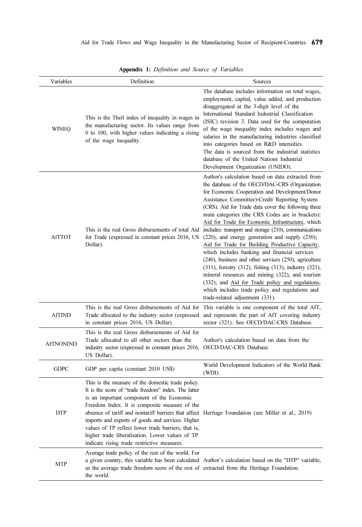| Variables        | Definition                                                                                                                                                                                                                                                                                                                                                                                                                                                                                                                  | Sources                                                                                                                                                                                                                                                                                                                                                                                                                                                                                                                                                                                                                                                                                                                                                                                                                                                                                                   |
|------------------|-----------------------------------------------------------------------------------------------------------------------------------------------------------------------------------------------------------------------------------------------------------------------------------------------------------------------------------------------------------------------------------------------------------------------------------------------------------------------------------------------------------------------------|-----------------------------------------------------------------------------------------------------------------------------------------------------------------------------------------------------------------------------------------------------------------------------------------------------------------------------------------------------------------------------------------------------------------------------------------------------------------------------------------------------------------------------------------------------------------------------------------------------------------------------------------------------------------------------------------------------------------------------------------------------------------------------------------------------------------------------------------------------------------------------------------------------------|
| <b>WINEO</b>     | This is the Theil index of inequality in wages in<br>the manufacturing sector. Its values range from<br>0 to 100, with higher values indicating a rising<br>of the wage inequality.                                                                                                                                                                                                                                                                                                                                         | The database includes information on total wages,<br>employment, capital, value added, and production<br>disaggregated at the 3-digit level of the<br>International Standard Industrial Classification<br>(ISIC) revision 3. Data used for the computation<br>of the wage inequality index includes wages and<br>salaries in the manufacturing industries classified<br>into categories based on R&D intensities.<br>The data is sourced from the industrial statistics<br>database of the United Nations Industrial<br>Development Organization (UNIDO).                                                                                                                                                                                                                                                                                                                                                 |
| <b>AfTTOT</b>    | This is the real Gross disbursements of total Aid<br>for Trade (expressed in constant prices 2016, US<br>Dollar).                                                                                                                                                                                                                                                                                                                                                                                                           | Author's calculation based on data extracted from<br>the database of the OECD/DAC-CRS (Organization<br>for Economic Cooperation and Development/Donor<br>Assistance Committee)-Credit Reporting System<br>(CRS). Aid for Trade data cover the following three<br>main categories (the CRS Codes are in brackets):<br>Aid for Trade for Economic Infrastructure, which<br>includes: transport and storage (210), communications<br>$(220)$ , and energy generation and supply $(230)$ ;<br>Aid for Trade for Building Productive Capacity,<br>which includes banking and financial services<br>(240), business and other services (250), agriculture<br>(311), forestry (312), fishing (313), industry (321),<br>mineral resources and mining (322), and tourism<br>(332); and Aid for Trade policy and regulations,<br>which includes trade policy and regulations and<br>trade-related adjustment (331). |
| <b>AfTIND</b>    | Trade allocated to the industry sector (expressed<br>in constant prices 2016, US Dollar).                                                                                                                                                                                                                                                                                                                                                                                                                                   | This is the real Gross disbursements of Aid for This variable is one component of the total AfT,<br>and represents the part of AfT covering industry<br>sector (321). See OECD/DAC-CRS Database.                                                                                                                                                                                                                                                                                                                                                                                                                                                                                                                                                                                                                                                                                                          |
| <b>AfTNONIND</b> | This is the real Gross disbursements of Aid for<br>Trade allocated to all other sectors than the<br>industry sector (expressed in constant prices 2016,<br>US Dollar).                                                                                                                                                                                                                                                                                                                                                      | Author's calculation based on data from the<br>OECD/DAC-CRS Database.                                                                                                                                                                                                                                                                                                                                                                                                                                                                                                                                                                                                                                                                                                                                                                                                                                     |
| <b>GDPC</b>      | GDP per capita (constant 2010 US\$)                                                                                                                                                                                                                                                                                                                                                                                                                                                                                         | World Development Indicators of the World Bank<br>(WDI).                                                                                                                                                                                                                                                                                                                                                                                                                                                                                                                                                                                                                                                                                                                                                                                                                                                  |
| <b>DTP</b>       | This is the measure of the domestic trade policy.<br>It is the score of "trade freedom" index. The latter<br>is an important component of the Economic<br>Freedom Index. It is composite measure of the<br>absence of tariff and nontariff barriers that affect Heritage Foundation (see Miller et al., 2019)<br>imports and exports of goods and services. Higher<br>values of TP reflect lower trade barriers, that is,<br>higher trade liberalisation. Lower values of TP<br>indicate rising trade restrictive measures. |                                                                                                                                                                                                                                                                                                                                                                                                                                                                                                                                                                                                                                                                                                                                                                                                                                                                                                           |
| MTP              | Average trade policy of the rest of the world. For<br>as the average trade freedom score of the rest of extracted from the Heritage Foundation.<br>the world.                                                                                                                                                                                                                                                                                                                                                               | a given country, this variable has been calculated Author's calculation based on the "DTP" variable,                                                                                                                                                                                                                                                                                                                                                                                                                                                                                                                                                                                                                                                                                                                                                                                                      |

Appendix 1: Definition and Source of Variables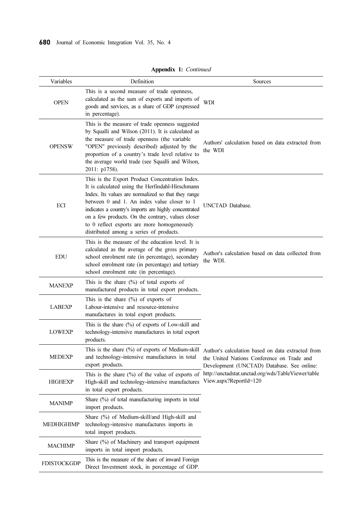| Variables          | Definition                                                                                                                                                                                                                                                                                                                                                                                                        | Sources                                                                                                                                       |
|--------------------|-------------------------------------------------------------------------------------------------------------------------------------------------------------------------------------------------------------------------------------------------------------------------------------------------------------------------------------------------------------------------------------------------------------------|-----------------------------------------------------------------------------------------------------------------------------------------------|
| <b>OPEN</b>        | This is a second measure of trade openness,<br>calculated as the sum of exports and imports of<br>goods and services, as a share of GDP (expressed<br>in percentage).                                                                                                                                                                                                                                             | <b>WDI</b>                                                                                                                                    |
| <b>OPENSW</b>      | This is the measure of trade openness suggested<br>by Squalli and Wilson (2011). It is calculated as<br>the measure of trade openness (the variable<br>"OPEN" previously described) adjusted by the<br>proportion of a country's trade level relative to<br>the average world trade (see Squalli and Wilson,<br>2011: p1758).                                                                                     | Authors' calculation based on data extracted from<br>the WDI                                                                                  |
| ECI                | This is the Export Product Concentration Index.<br>It is calculated using the Herfindahl-Hirschmann<br>Index. Its values are normalized so that they range<br>between 0 and 1. An index value closer to 1<br>indicates a country's imports are highly concentrated<br>on a few products. On the contrary, values closer<br>to 0 reflect exports are more homogeneously<br>distributed among a series of products. | UNCTAD Database.                                                                                                                              |
| <b>EDU</b>         | This is the measure of the education level. It is<br>calculated as the average of the gross primary<br>school enrolment rate (in percentage), secondary<br>school enrolment rate (in percentage) and tertiary<br>school enrolment rate (in percentage).                                                                                                                                                           | Author's calculation based on data collected from<br>the WDI.                                                                                 |
| <b>MANEXP</b>      | This is the share $(\%)$ of total exports of<br>manufactured products in total export products.                                                                                                                                                                                                                                                                                                                   |                                                                                                                                               |
| <b>LABEXP</b>      | This is the share $(\% )$ of exports of<br>Labour-intensive and resource-intensive<br>manufactures in total export products.                                                                                                                                                                                                                                                                                      |                                                                                                                                               |
| <b>LOWEXP</b>      | This is the share $(\%)$ of exports of Low-skill and<br>technology-intensive manufactures in total export<br>products.                                                                                                                                                                                                                                                                                            |                                                                                                                                               |
| <b>MEDEXP</b>      | This is the share $(\%)$ of exports of Medium-skill<br>and technology-intensive manufactures in total<br>export products.                                                                                                                                                                                                                                                                                         | Author's calculation based on data extracted from<br>the United Nations Conference on Trade and<br>Development (UNCTAD) Database. See online: |
| <b>HIGHEXP</b>     | This is the share $(\%)$ of the value of exports of<br>High-skill and technology-intensive manufactures<br>in total export products.                                                                                                                                                                                                                                                                              | http://unctadstat.unctad.org/wds/TableViewer/table<br>View.aspx?ReportId=120                                                                  |
| <b>MANIMP</b>      | Share (%) of total manufacturing imports in total<br>import products.                                                                                                                                                                                                                                                                                                                                             |                                                                                                                                               |
| MEDHIGHIMP         | Share (%) of Medium-skill/and High-skill and<br>technology-intensive manufactures imports in<br>total import products.                                                                                                                                                                                                                                                                                            |                                                                                                                                               |
| <b>MACHIMP</b>     | Share (%) of Machinery and transport equipment<br>imports in total import products.                                                                                                                                                                                                                                                                                                                               |                                                                                                                                               |
| <b>FDISTOCKGDP</b> | This is the measure of the share of inward Foreign<br>Direct Investment stock, in percentage of GDP.                                                                                                                                                                                                                                                                                                              |                                                                                                                                               |

Appendix 1: Continued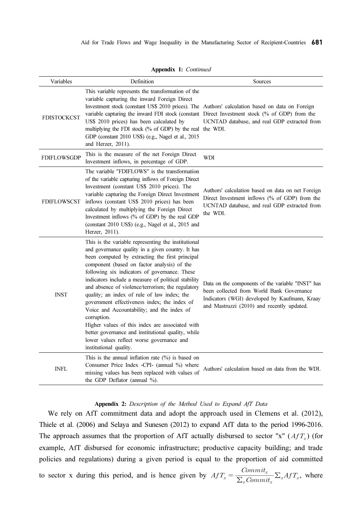|                    |                                                                                                                                                                                                                                                                                                                       | Aid for Trade Flows and Wage Inequality in the Manufacturing Sector of Recipient-Countries 681                                                                                                |
|--------------------|-----------------------------------------------------------------------------------------------------------------------------------------------------------------------------------------------------------------------------------------------------------------------------------------------------------------------|-----------------------------------------------------------------------------------------------------------------------------------------------------------------------------------------------|
|                    | Appendix 1: Continued                                                                                                                                                                                                                                                                                                 |                                                                                                                                                                                               |
| Variables          | Definition<br>This variable represents the transformation of the<br>variable capturing the inward Foreign Direct<br>Investment stock (constant US\$ 2010 prices). The Authors' calculation based on data on Foreign                                                                                                   | Sources                                                                                                                                                                                       |
| <b>FDISTOCKCST</b> | variable capturing the inward FDI stock (constant Direct Investment stock (% of GDP) from the<br>US\$ 2010 prices) has been calculated by<br>multiplying the FDI stock (% of GDP) by the real the WDI.<br>GDP (constant 2010 US\$) (e.g., Nagel et al., 2015<br>and Herzer, 2011).                                    | UCNTAD database, and real GDP extracted from                                                                                                                                                  |
| <b>FDIFLOWSGDP</b> | This is the measure of the net Foreign Direct<br>Investment inflows, in percentage of GDP.<br>The variable "FDIFLOWS" is the transformation<br>of the variable capturing inflows of Foreign Direct                                                                                                                    | WDI                                                                                                                                                                                           |
| FDIFLOWSCST        | Investment (constant US\$ 2010 prices). The<br>variable capturing the Foreign Direct Investment<br>inflows (constant US\$ 2010 prices) has been<br>calculated by multiplying the Foreign Direct<br>Investment inflows (% of GDP) by the real GDP<br>(constant 2010 US\$) (e.g., Nagel et al., 2015 and                | Authors' calculation based on data on net Foreign<br>Direct Investment inflows (% of GDP) from the<br>UCNTAD database, and real GDP extracted from<br>the WDI.                                |
|                    | Herzer, 2011).<br>This is the variable representing the institutional<br>and governance quality in a given country. It has<br>been computed by extracting the first principal<br>component (based on factor analysis) of the                                                                                          |                                                                                                                                                                                               |
| <b>INST</b>        | following six indicators of governance. These<br>indicators include a measure of political stability<br>and absence of violence/terrorism; the regulatory<br>quality; an index of rule of law index; the<br>government effectiveness index; the index of<br>Voice and Accountability; and the index of<br>corruption. | Data on the components of the variable "INST" has<br>been collected from World Bank Governance<br>Indicators (WGI) developed by Kaufmann, Kraay<br>and Mastruzzi (2010) and recently updated. |
|                    | Higher values of this index are associated with<br>better governance and institutional quality, while<br>lower values reflect worse governance and<br>institutional quality.<br>This is the annual inflation rate $(\%)$ is based on                                                                                  |                                                                                                                                                                                               |
| <b>INFL</b>        | Consumer Price Index -CPI- (annual %) where<br>missing values has been replaced with values of<br>the GDP Deflator (annual %).                                                                                                                                                                                        | Authors' calculation based on data from the WDI.                                                                                                                                              |
|                    |                                                                                                                                                                                                                                                                                                                       |                                                                                                                                                                                               |

Appendix 1: Continued

#### Appendix 2: Description of the Method Used to Expand AfT Data

We rely on AfT commitment data and adopt the approach used in Clemens et al. (2012), Thiele et al. (2006) and Selaya and Sunesen (2012) to expand AfT data to the period 1996-2016. The approach assumes that the proportion of AfT actually disbursed to sector "x" ( $A f T<sub>x</sub>$ ) (for example, AfT disbursed for economic infrastructure; productive capacity building; and trade policies and regulations) during a given period is equal to the proportion of aid committed  $\frac{Commit_x}{\sum_{x} Commit_x} \sum_{x} Affx,$  where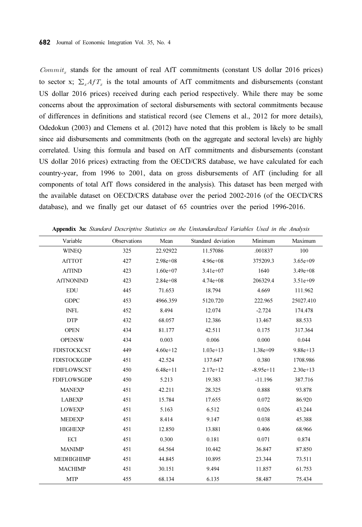$Commit<sub>x</sub>$  stands for the amount of real AfT commitments (constant US dollar 2016 prices) to sector x;  $\sum_{x} AfT_{x}$  is the total amounts of AfT commitments and disbursements (constant US dollar 2016 prices) received during each period respectively. While there may be some concerns about the approximation of sectoral disbursements with sectoral commitments because of differences in definitions and statistical record (see Clemens et al., 2012 for more details), Odedokun (2003) and Clemens et al. (2012) have noted that this problem is likely to be small since aid disbursements and commitments (both on the aggregate and sectoral levels) are highly correlated. Using this formula and based on AfT commitments and disbursements (constant US dollar 2016 prices) extracting from the OECD/CRS database, we have calculated for each country-year, from 1996 to 2001, data on gross disbursements of AfT (including for all components of total AfT flows considered in the analysis). This dataset has been merged with the available dataset on OECD/CRS database over the period 2002-2016 (of the OECD/CRS database), and we finally get our dataset of 65 countries over the period 1996-2016.

| Variable           | Observations | Mean         | Standard deviation | Minimum      | Maximum      |
|--------------------|--------------|--------------|--------------------|--------------|--------------|
| <b>WINEQ</b>       | 325          | 22.92922     | 11.57086           | .001837      | 100          |
| <b>AfTTOT</b>      | 427          | $2.98e + 08$ | $4.96e + 08$       | 375209.3     | $3.65e + 09$ |
| <b>AfTIND</b>      | 423          | $1.60e+07$   | 3.41e+07           | 1640         | $3.49e + 08$ |
| <b>AfTNONIND</b>   | 423          | $2.84e+0.8$  | $4.74e+08$         | 206329.4     | $3.51e+09$   |
| <b>EDU</b>         | 445          | 71.653       | 18.794             | 4.669        | 111.962      |
| <b>GDPC</b>        | 453          | 4966.359     | 5120.720           | 222.965      | 25027.410    |
| <b>INFL</b>        | 452          | 8.494        | 12.074             | $-2.724$     | 174.478      |
| <b>DTP</b>         | 432          | 68.057       | 12.386             | 13.467       | 88.533       |
| <b>OPEN</b>        | 434          | 81.177       | 42.511             | 0.175        | 317.364      |
| <b>OPENSW</b>      | 434          | 0.003        | 0.006              | 0.000        | 0.044        |
| <b>FDISTOCKCST</b> | 449          | $4.60e + 12$ | $1.03e+13$         | $1.38e + 09$ | $9.88e + 13$ |
| <b>FDISTOCKGDP</b> | 451          | 42.524       | 137.647            | 0.380        | 1708.986     |
| <b>FDIFLOWSCST</b> | 450          | $6.48e+11$   | $2.17e+12$         | $-8.95e+11$  | $2.30e+13$   |
| <b>FDIFLOWSGDP</b> | 450          | 5.213        | 19.383             | $-11.196$    | 387.716      |
| <b>MANEXP</b>      | 451          | 42.211       | 28.325             | 0.888        | 93.878       |
| <b>LABEXP</b>      | 451          | 15.784       | 17.655             | 0.072        | 86.920       |
| <b>LOWEXP</b>      | 451          | 5.163        | 6.512              | 0.026        | 43.244       |
| <b>MEDEXP</b>      | 451          | 8.414        | 9.147              | 0.038        | 45.388       |
| <b>HIGHEXP</b>     | 451          | 12.850       | 13.881             | 0.406        | 68.966       |
| ECI                | 451          | 0.300        | 0.181              | 0.071        | 0.874        |
| <b>MANIMP</b>      | 451          | 64.564       | 10.442             | 36.847       | 87.850       |
| <b>MEDHIGHIMP</b>  | 451          | 44.845       | 10.895             | 23.344       | 73.511       |
| <b>MACHIMP</b>     | 451          | 30.151       | 9.494              | 11.857       | 61.753       |
| <b>MTP</b>         | 455          | 68.134       | 6.135              | 58.487       | 75.434       |

Appendix 3a: Standard Descriptive Statistics on the Unstandardized Variables Used in the Analysis